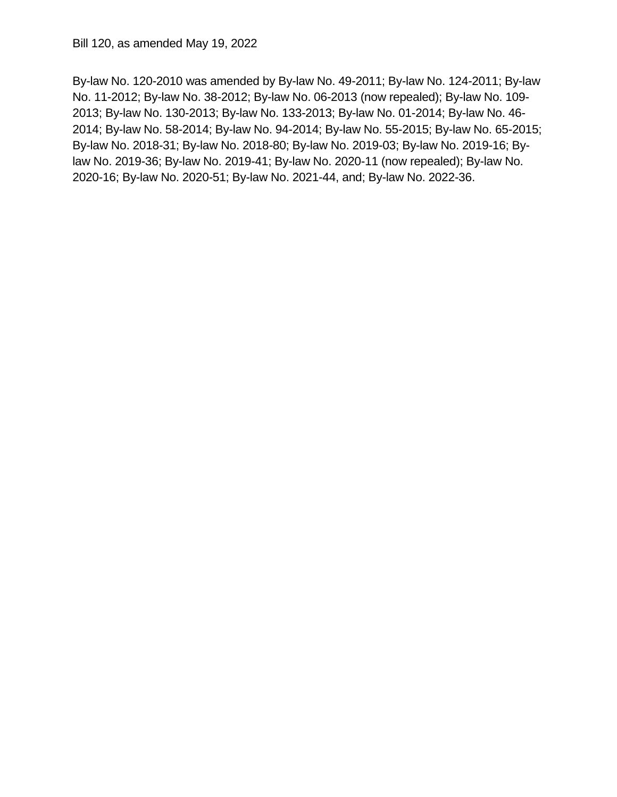By-law No. 120-2010 was amended by By-law No. 49-2011; By-law No. 124-2011; By-law No. 11-2012; By-law No. 38-2012; By-law No. 06-2013 (now repealed); By-law No. 109- 2013; By-law No. 130-2013; By-law No. 133-2013; By-law No. 01-2014; By-law No. 46- 2014; By-law No. 58-2014; By-law No. 94-2014; By-law No. 55-2015; By-law No. 65-2015; By-law No. 2018-31; By-law No. 2018-80; By-law No. 2019-03; By-law No. 2019-16; By- law No. 2019-36; By-law No. 2019-41; By-law No. 2020-11 (now repealed); By-law No. 2020-16; By-law No. 2020-51; By-law No. 2021-44, and; By-law No. 2022-36.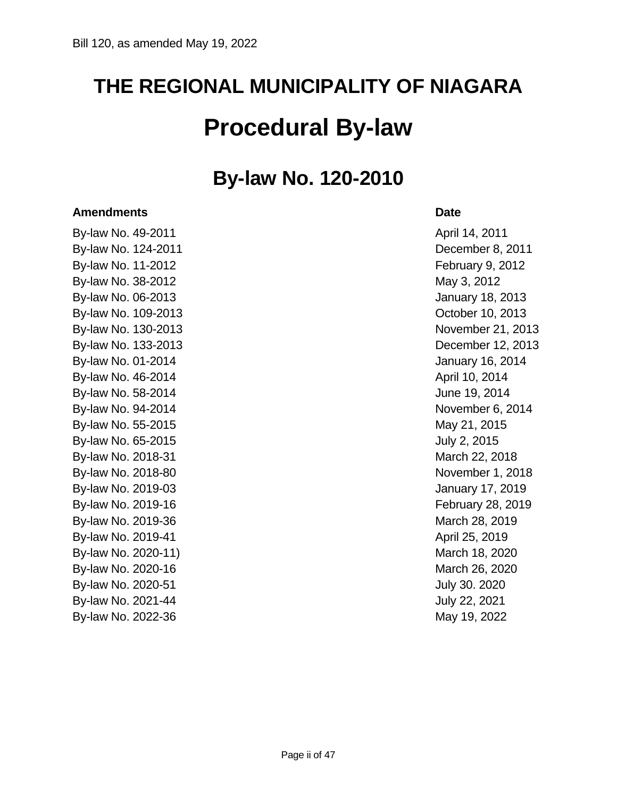# **THE REGIONAL MUNICIPALITY OF NIAGARA Procedural By-law**

### **By-law No. 120-2010**

#### **Amendments Date**

By-law No. 49-2011 **By-law No. 49-2011**  By-law No. 124-2011 December 8, 2011 By-law No. 11-2012 **February 9, 2012** By-law No. 38-2012 **May 3, 2012**  By-law No. 06-2013 January 18, 2013 By-law No. 109-2013 **Detection 10, 2013** By-law No. 130-2013 **November 21, 2013**  By-law No. 133-2013 December 12, 2013 By-law No. 01-2014 **January 16, 2014** By-law No. 46-2014 **April 10, 2014**  By-law No. 58-2014 June 19, 2014 By-law No. 94-2014 **November 6, 2014** By-law No. 55-2015 **May 21, 2015** By-law No. 65-2015 **GMS** 300 Section 10 August 2, 2015 By-law No. 2018-31 March 22, 2018 By-law No. 2018-80 **November 1, 2018**  By-law No. 2019-03 January 17, 2019 By-law No. 2019-16 By-law No. 2019-36 March 28, 2019 By-law No. 2019-41 **By-law No. 2019** By-law No. 2020-11) **March 18, 2020** By-law No. 2020-16 **March 26, 2020** By-law No. 2020-51 **July 30. 2020** By-law No. 2021-44 **July 22, 2021** By-law No. 2022-36 **May 19, 2022** 

February 28, 2019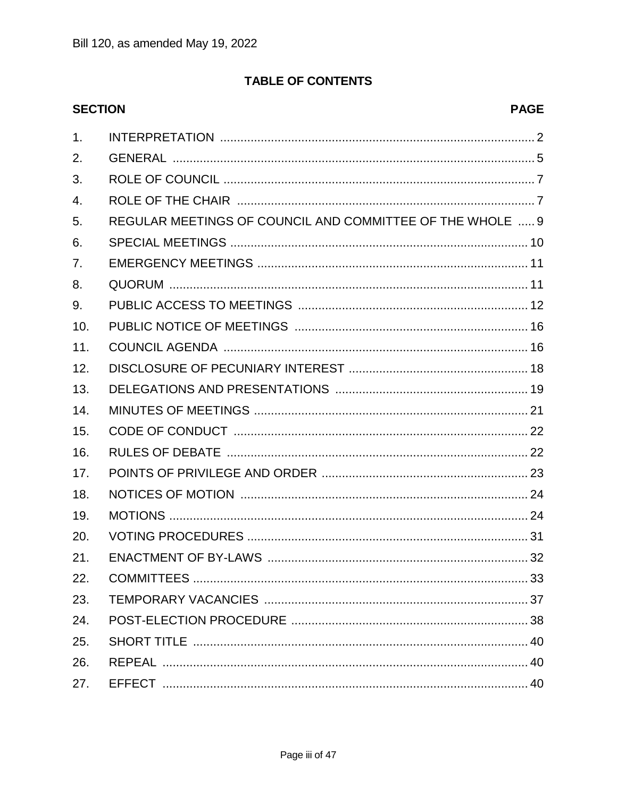#### **TABLE OF CONTENTS**

| <b>SECTION</b>   | <b>PAGE</b>                                               |
|------------------|-----------------------------------------------------------|
| 1.               |                                                           |
| 2.               |                                                           |
| 3.               |                                                           |
| $\overline{4}$ . |                                                           |
| 5.               | REGULAR MEETINGS OF COUNCIL AND COMMITTEE OF THE WHOLE  9 |
| 6.               |                                                           |
| 7.               |                                                           |
| 8.               |                                                           |
| 9.               |                                                           |
| 10.              |                                                           |
| 11.              |                                                           |
| 12.              |                                                           |
| 13.              |                                                           |
| 14.              |                                                           |
| 15.              |                                                           |
| 16.              |                                                           |
| 17.              |                                                           |
| 18.              |                                                           |
| 19.              |                                                           |
| 20.              |                                                           |
| 21.              |                                                           |
| 22.              |                                                           |
| 23.              |                                                           |
| 24.              |                                                           |
| 25.              |                                                           |
| 26.              |                                                           |
| 27.              |                                                           |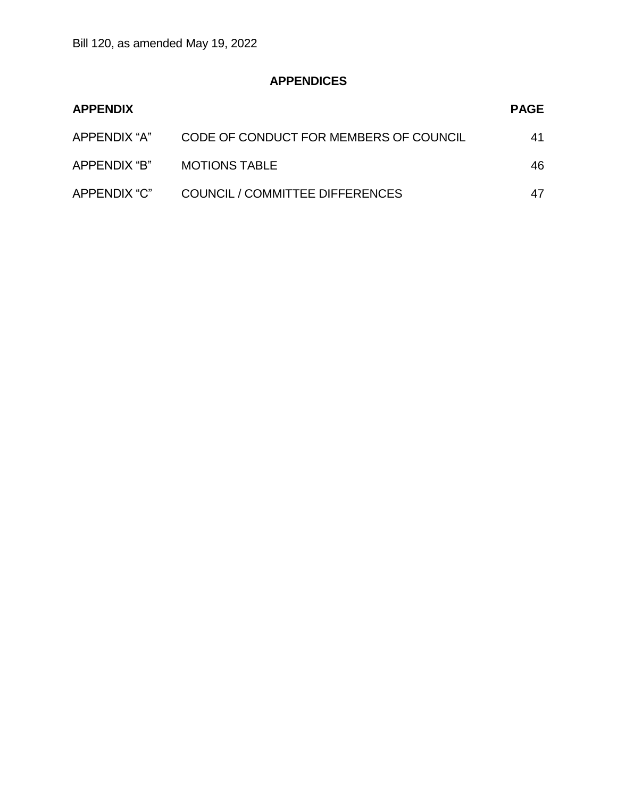### **APPENDICES**

| <b>APPENDIX</b> |                                        | <b>PAGE</b> |
|-----------------|----------------------------------------|-------------|
| APPENDIX "A"    | CODE OF CONDUCT FOR MEMBERS OF COUNCIL | 41          |
| APPENDIX "B"    | <b>MOTIONS TABLE</b>                   | 46          |
| APPENDIX "C"    | <b>COUNCIL / COMMITTEE DIFFERENCES</b> |             |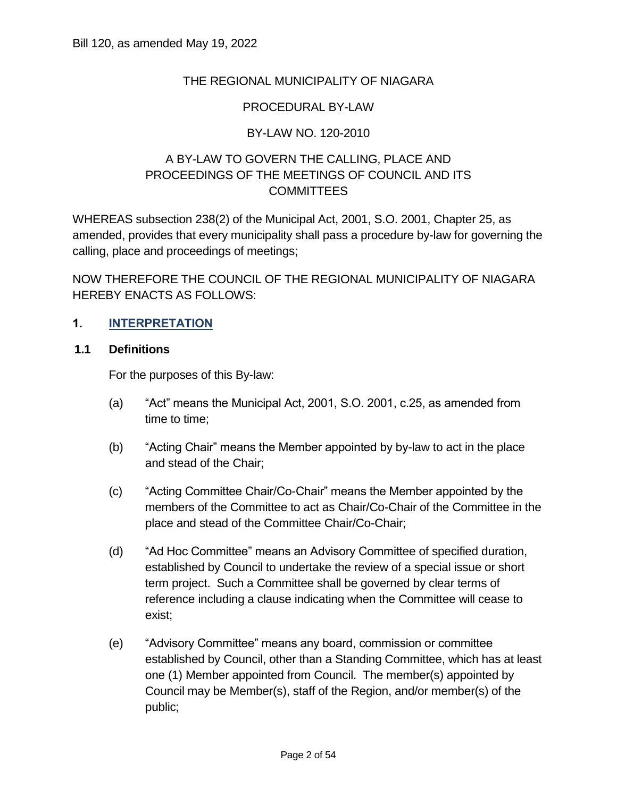#### THE REGIONAL MUNICIPALITY OF NIAGARA

#### PROCEDURAL BY-LAW

#### BY-LAW NO. 120-2010

#### A BY-LAW TO GOVERN THE CALLING, PLACE AND PROCEEDINGS OF THE MEETINGS OF COUNCIL AND ITS **COMMITTEES**

 WHEREAS subsection 238(2) of the Municipal Act, 2001, S.O. 2001, Chapter 25, as amended, provides that every municipality shall pass a procedure by-law for governing the calling, place and proceedings of meetings;

 NOW THEREFORE THE COUNCIL OF THE REGIONAL MUNICIPALITY OF NIAGARA HEREBY ENACTS AS FOLLOWS:

#### **1. INTERPRETATION**

#### **1.1 Definitions**

For the purposes of this By-law:

- (a) "Act" means the Municipal Act, 2001, S.O. 2001, c.25, as amended from time to time;
- (b) "Acting Chair" means the Member appointed by by-law to act in the place and stead of the Chair;
- (c) "Acting Committee Chair/Co-Chair" means the Member appointed by the members of the Committee to act as Chair/Co-Chair of the Committee in the place and stead of the Committee Chair/Co-Chair;
- (d) "Ad Hoc Committee" means an Advisory Committee of specified duration, established by Council to undertake the review of a special issue or short term project. Such a Committee shall be governed by clear terms of reference including a clause indicating when the Committee will cease to Bill 120, as amended May 19, 2022 exist;
	- (e) "Advisory Committee" means any board, commission or committee established by Council, other than a Standing Committee, which has at least one (1) Member appointed from Council. The member(s) appointed by Council may be Member(s), staff of the Region, and/or member(s) of the public;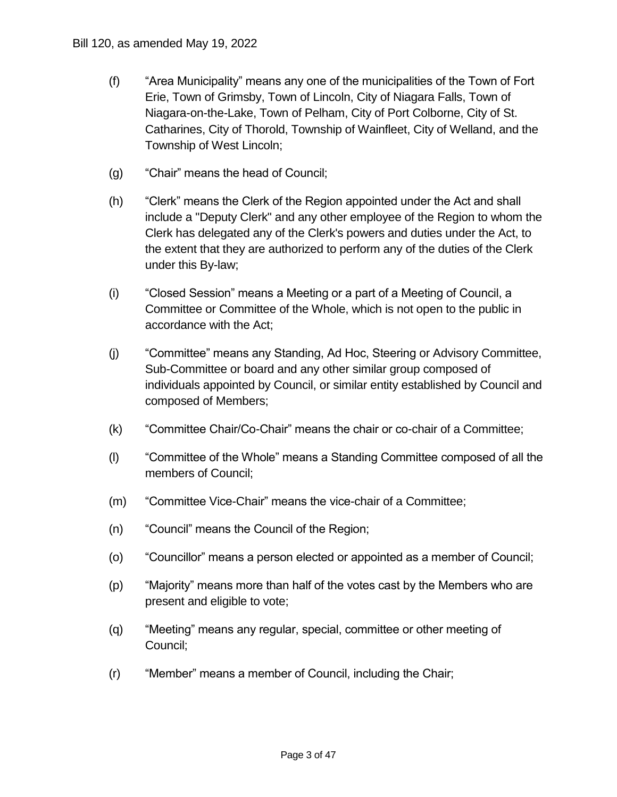- (f) "Area Municipality" means any one of the municipalities of the Town of Fort Erie, Town of Grimsby, Town of Lincoln, City of Niagara Falls, Town of Niagara-on-the-Lake, Town of Pelham, City of Port Colborne, City of St. Catharines, City of Thorold, Township of Wainfleet, City of Welland, and the Township of West Lincoln; Bill 120, as amended May 19, 2022<br>
(f) "Area Municipality" me<br>
Erie, Town of Grimsby<br>
Niagara-on-the-Lake,<br>
Catharines, City of The<br>
Township of West Line<br>
(g) "Chair" means the head<br>
(h) "Clerk mass the Cle<br>
include a "De
	- (g) "Chair" means the head of Council;
	- (h) "Clerk" means the Clerk of the Region appointed under the Act and shall include a "Deputy Clerk" and any other employee of the Region to whom the Clerk has delegated any of the Clerk's powers and duties under the Act, to the extent that they are authorized to perform any of the duties of the Clerk under this By-law; Municipality" means ar<br>own of Grimsby, Towr<br>a-on-the-Lake, Town of<br>ines, City of Thorold, 1<br>hip of West Lincoln;<br>' means the head of Co<br>means the Clerk of th<br>a "Deputy Clerk" and<br>as delegated any of th<br>ent that they are au
	- (i) "Closed Session" means a Meeting or a part of a Meeting of Council, a Committee or Committee of the Whole, which is not open to the public in accordance with the Act;
	- (j) "Committee" means any Standing, Ad Hoc, Steering or Advisory Committee, Sub-Committee or board and any other similar group composed of individuals appointed by Council, or similar entity established by Council and composed of Members;
	- (k) "Committee Chair/Co-Chair" means the chair or co-chair of a Committee;
	- (l) "Committee of the Whole" means a Standing Committee composed of all the members of Council;
	- (m) "Committee Vice-Chair" means the vice-chair of a Committee;
	- (n) "Council" means the Council of the Region;
	- (o) "Councillor" means a person elected or appointed as a member of Council;
	- (p) "Majority" means more than half of the votes cast by the Members who are present and eligible to vote;
	- (q) "Meeting" means any regular, special, committee or other meeting of Council;
	- (r) "Member" means a member of Council, including the Chair;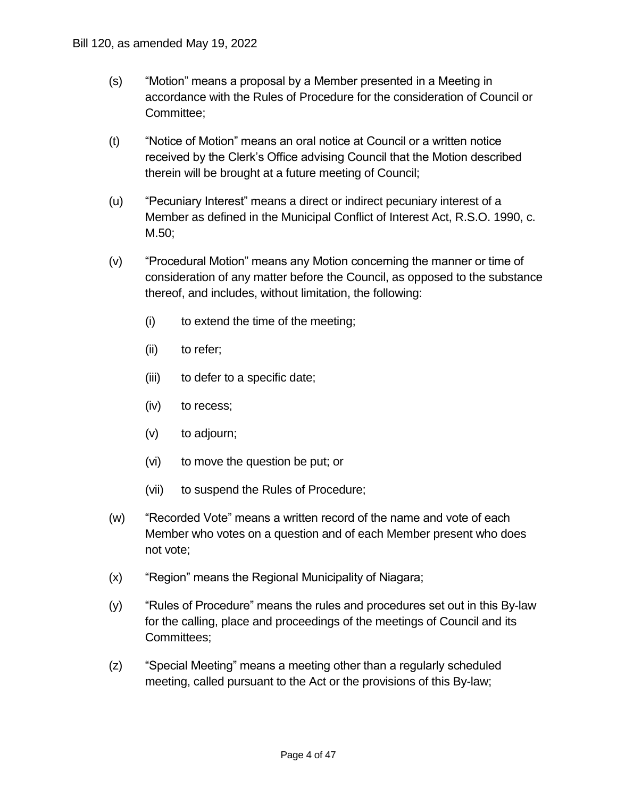- (s) "Motion" means a proposal by a Member presented in a Meeting in accordance with the Rules of Procedure for the consideration of Council or Bill 120, as amended May 19, 2022<br>
(s) "Motion" means a prop<br>
accordance with the R<br>
Committee;<br>
(t) "Notice of Motion" mea<br>
received by the Clerk's<br>
therein will be brought<br>
(u) "Pecuniary Interest" m<br>
Member as defined i Committee;
	- (t) "Notice of Motion" means an oral notice at Council or a written notice received by the Clerk's Office advising Council that the Motion described therein will be brought at a future meeting of Council;
	- (u) "Pecuniary Interest" means a direct or indirect pecuniary interest of a Member as defined in the Municipal Conflict of Interest Act, R.S.O. 1990, c. M.50;
	- (v) "Procedural Motion" means any Motion concerning the manner or time of consideration of any matter before the Council, as opposed to the substance thereof, and includes, without limitation, the following:
		- (i) to extend the time of the meeting;
		- (ii) to refer;
		- (iii) to defer to a specific date;
		- (iv) to recess;
		- (v) to adjourn;
		- (vi) to move the question be put; or
		- (vii) to suspend the Rules of Procedure;
	- (w) "Recorded Vote" means a written record of the name and vote of each Member who votes on a question and of each Member present who does not vote;
	- (x) "Region" means the Regional Municipality of Niagara;
	- (y) "Rules of Procedure" means the rules and procedures set out in this By-law for the calling, place and proceedings of the meetings of Council and its Committees;
	- (z) "Special Meeting" means a meeting other than a regularly scheduled meeting, called pursuant to the Act or the provisions of this By-law;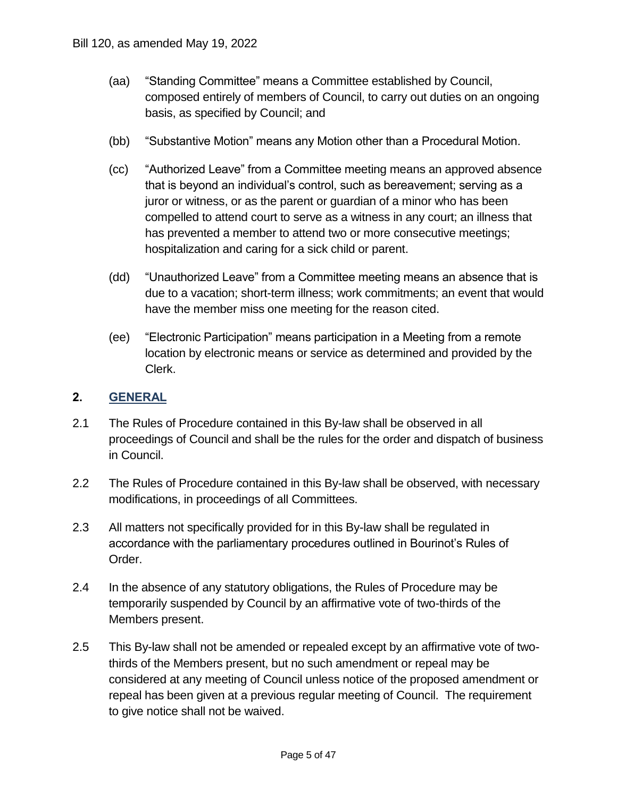- (aa) "Standing Committee" means a Committee established by Council, composed entirely of members of Council, to carry out duties on an ongoing basis, as specified by Council; and
- (bb) "Substantive Motion" means any Motion other than a Procedural Motion.
- (cc) "Authorized Leave" from a Committee meeting means an approved absence that is beyond an individual's control, such as bereavement; serving as a juror or witness, or as the parent or guardian of a minor who has been compelled to attend court to serve as a witness in any court; an illness that has prevented a member to attend two or more consecutive meetings; hospitalization and caring for a sick child or parent. bstantive Motion" meand<br>thorized Leave" from<br>is beyond an individur or witness, or as the<br>ppelled to attend courre<br>prevented a member<br>pitalization and caring<br>authorized Leave" fro<br>to a vacation; short-te<br>the member miss of Bill 120, as amended May 19, 2022<br>
(aa) "Standing Committee"<br>
composed entirely of r<br>
basis, as specified by<br>
(bb) "Substantive Motion" r<br>
(cc) "Authorized Leave" fro<br>
that is beyond an indiv<br>
juror or witness, or as<br>
comp
	- (dd) "Unauthorized Leave" from a Committee meeting means an absence that is due to a vacation; short-term illness; work commitments; an event that would have the member miss one meeting for the reason cited.
	- (ee) "Electronic Participation" means participation in a Meeting from a remote location by electronic means or service as determined and provided by the Clerk.

#### **2. GENERAL**

- 2.1 The Rules of Procedure contained in this By-law shall be observed in all proceedings of Council and shall be the rules for the order and dispatch of business in Council.
- 2.2 The Rules of Procedure contained in this By-law shall be observed, with necessary modifications, in proceedings of all Committees.
- 2.3 All matters not specifically provided for in this By-law shall be regulated in accordance with the parliamentary procedures outlined in Bourinot's Rules of Order.
- 2.4 In the absence of any statutory obligations, the Rules of Procedure may be temporarily suspended by Council by an affirmative vote of two-thirds of the Members present.
- 2.5 This By-law shall not be amended or repealed except by an affirmative vote of two- thirds of the Members present, but no such amendment or repeal may be considered at any meeting of Council unless notice of the proposed amendment or repeal has been given at a previous regular meeting of Council. The requirement to give notice shall not be waived.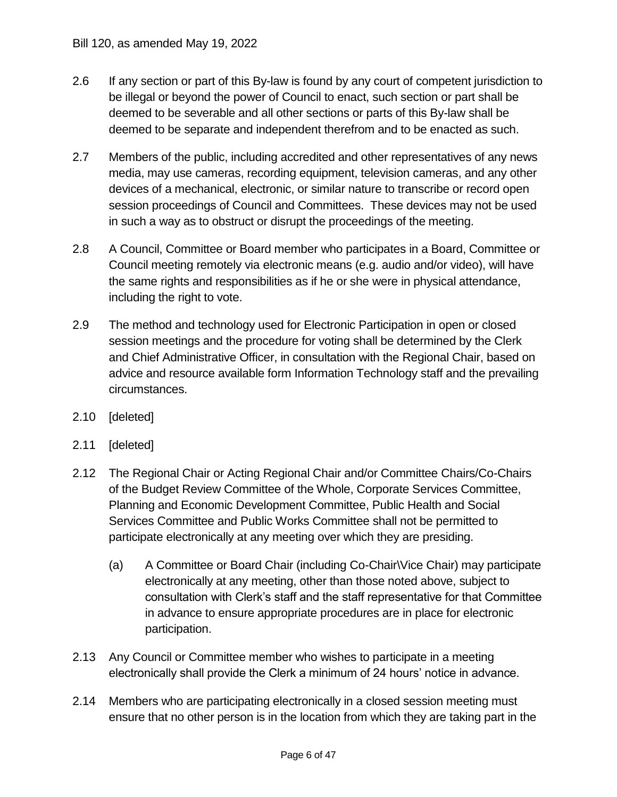- 2.6 If any section or part of this By-law is found by any court of competent jurisdiction to be illegal or beyond the power of Council to enact, such section or part shall be deemed to be severable and all other sections or parts of this By-law shall be deemed to be separate and independent therefrom and to be enacted as such.
- 2.7 Members of the public, including accredited and other representatives of any news media, may use cameras, recording equipment, television cameras, and any other devices of a mechanical, electronic, or similar nature to transcribe or record open session proceedings of Council and Committees. These devices may not be used in such a way as to obstruct or disrupt the proceedings of the meeting.
- 2.8 A Council, Committee or Board member who participates in a Board, Committee or Council meeting remotely via electronic means (e.g. audio and/or video), will have the same rights and responsibilities as if he or she were in physical attendance, including the right to vote.
- 2.9 The method and technology used for Electronic Participation in open or closed session meetings and the procedure for voting shall be determined by the Clerk and Chief Administrative Officer, in consultation with the Regional Chair, based on advice and resource available form Information Technology staff and the prevailing Bill 120, as amended May 19, 2022<br>
2.6 If any section or part of this B<br>
be illegal or beyond the powe<br>
deemed to be severable and<br>
deemed to be severable and<br>
12.7 Members of the public, includ<br>
media, may use cameras, re circumstances.
- 2.10 [deleted]
- 2.11 [deleted]
- 2.12 The Regional Chair or Acting Regional Chair and/or Committee Chairs/Co-Chairs of the Budget Review Committee of the Whole, Corporate Services Committee, Planning and Economic Development Committee, Public Health and Social Services Committee and Public Works Committee shall not be permitted to participate electronically at any meeting over which they are presiding.
	- (a) A Committee or Board Chair (including Co-Chair\Vice Chair) may participate electronically at any meeting, other than those noted above, subject to consultation with Clerk's staff and the staff representative for that Committee in advance to ensure appropriate procedures are in place for electronic participation.
- 2.13 Any Council or Committee member who wishes to participate in a meeting electronically shall provide the Clerk a minimum of 24 hours' notice in advance.
- 2.14 Members who are participating electronically in a closed session meeting must ensure that no other person is in the location from which they are taking part in the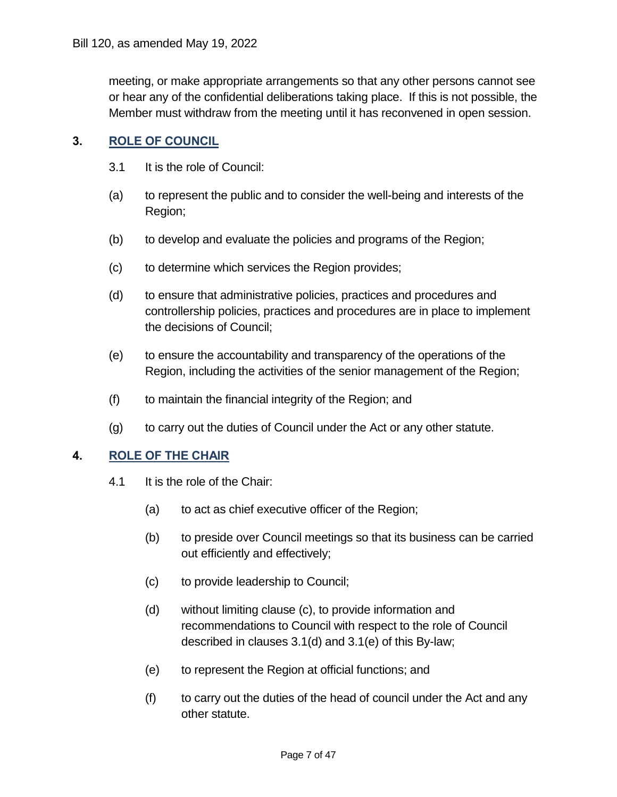meeting, or make appropriate arrangements so that any other persons cannot see or hear any of the confidential deliberations taking place. If this is not possible, the Member must withdraw from the meeting until it has reconvened in open session.

#### **3. ROLE OF COUNCIL**

- 3.1 It is the role of Council:
- (a) to represent the public and to consider the well-being and interests of the Region;
- (b) to develop and evaluate the policies and programs of the Region;
- (c) to determine which services the Region provides;
- (d) to ensure that administrative policies, practices and procedures and controllership policies, practices and procedures are in place to implement the decisions of Council;
- (e) to ensure the accountability and transparency of the operations of the Region, including the activities of the senior management of the Region;
- (f) to maintain the financial integrity of the Region; and
- (g) to carry out the duties of Council under the Act or any other statute.

#### **4. ROLE OF THE CHAIR**

- 4.1 It is the role of the Chair:
	- (a) to act as chief executive officer of the Region;
	- (b) to preside over Council meetings so that its business can be carried out efficiently and effectively;
	- (c) to provide leadership to Council;
	- (d) without limiting clause (c), to provide information and recommendations to Council with respect to the role of Council described in clauses 3.1(d) and 3.1(e) of this By-law;
	- (e) to represent the Region at official functions; and
	- (f) to carry out the duties of the head of council under the Act and any other statute.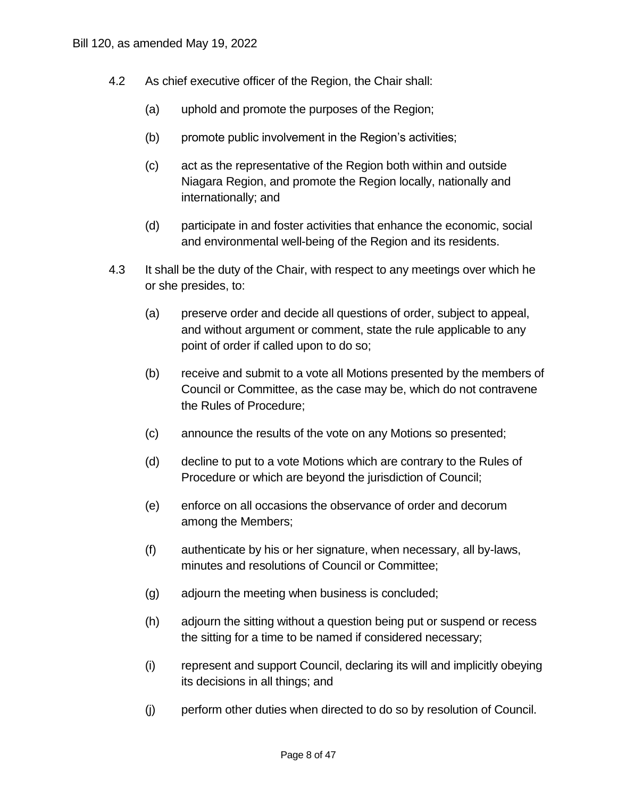- 4.2 As chief executive officer of the Region, the Chair shall:
	- (a) uphold and promote the purposes of the Region;
	- (b) promote public involvement in the Region's activities;
	- (c) act as the representative of the Region both within and outside Niagara Region, and promote the Region locally, nationally and internationally; and
	- (d) participate in and foster activities that enhance the economic, social and environmental well-being of the Region and its residents.
- 4.3 It shall be the duty of the Chair, with respect to any meetings over which he or she presides, to:
	- (a) preserve order and decide all questions of order, subject to appeal, and without argument or comment, state the rule applicable to any point of order if called upon to do so;
	- (b) receive and submit to a vote all Motions presented by the members of Council or Committee, as the case may be, which do not contravene the Rules of Procedure;
	- (c) announce the results of the vote on any Motions so presented;
	- (d) decline to put to a vote Motions which are contrary to the Rules of Procedure or which are beyond the jurisdiction of Council;
	- (e) enforce on all occasions the observance of order and decorum among the Members;
	- (f) authenticate by his or her signature, when necessary, all by-laws, minutes and resolutions of Council or Committee;
	- (g) adjourn the meeting when business is concluded;
	- (h) adjourn the sitting without a question being put or suspend or recess the sitting for a time to be named if considered necessary;
	- (i) represent and support Council, declaring its will and implicitly obeying its decisions in all things; and
	- (j) perform other duties when directed to do so by resolution of Council.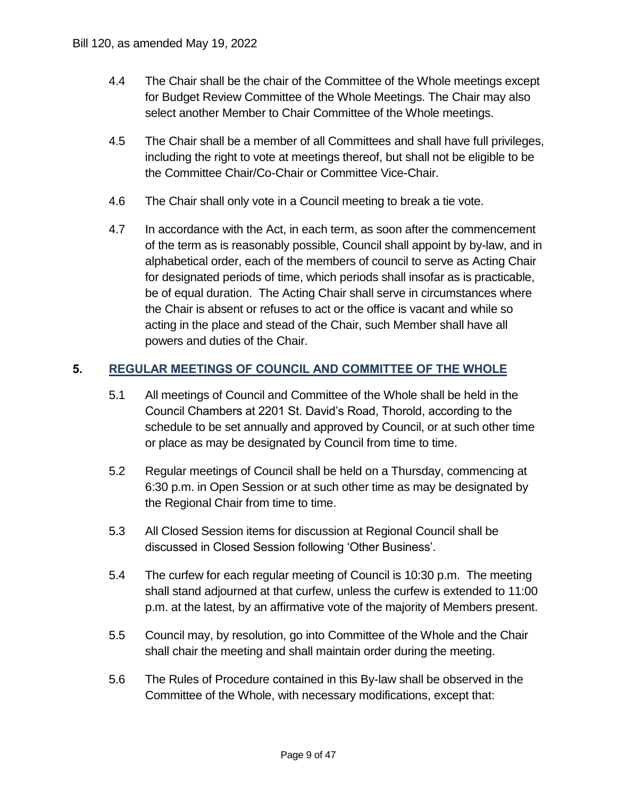- 4.4 The Chair shall be the chair of the Committee of the Whole meetings except for Budget Review Committee of the Whole Meetings. The Chair may also select another Member to Chair Committee of the Whole meetings.
- 4.5 The Chair shall be a member of all Committees and shall have full privileges, including the right to vote at meetings thereof, but shall not be eligible to be the Committee Chair/Co-Chair or Committee Vice-Chair.
- 4.6 The Chair shall only vote in a Council meeting to break a tie vote.
- 4.7 In accordance with the Act, in each term, as soon after the commencement of the term as is reasonably possible, Council shall appoint by by-law, and in alphabetical order, each of the members of council to serve as Acting Chair for designated periods of time, which periods shall insofar as is practicable, be of equal duration. The Acting Chair shall serve in circumstances where the Chair is absent or refuses to act or the office is vacant and while so acting in the place and stead of the Chair, such Member shall have all powers and duties of the Chair. Bill 120, as amended May 19, 2022<br>
4.4 The Chair shall be the<br>
for Budget Review Co<br>
select another Membe<br>
4.5 The Chair shall be a m<br>
including the right to v<br>
the Committee Chair/<br>
4.6 The Chair shall only ve<br>
4.7 In acc

#### **5. REGULAR MEETINGS OF COUNCIL AND COMMITTEE OF THE WHOLE**

- 5.1 All meetings of Council and Committee of the Whole shall be held in the Council Chambers at 2201 St. David's Road, Thorold, according to the schedule to be set annually and approved by Council, or at such other time or place as may be designated by Council from time to time.
- 5.2 Regular meetings of Council shall be held on a Thursday, commencing at 6:30 p.m. in Open Session or at such other time as may be designated by the Regional Chair from time to time.
- 5.3 All Closed Session items for discussion at Regional Council shall be discussed in Closed Session following 'Other Business'.
- 5.4 The curfew for each regular meeting of Council is 10:30 p.m. The meeting shall stand adjourned at that curfew, unless the curfew is extended to 11:00 p.m. at the latest, by an affirmative vote of the majority of Members present.
- 5.5 Council may, by resolution, go into Committee of the Whole and the Chair shall chair the meeting and shall maintain order during the meeting.
- 5.6 The Rules of Procedure contained in this By-law shall be observed in the Committee of the Whole, with necessary modifications, except that: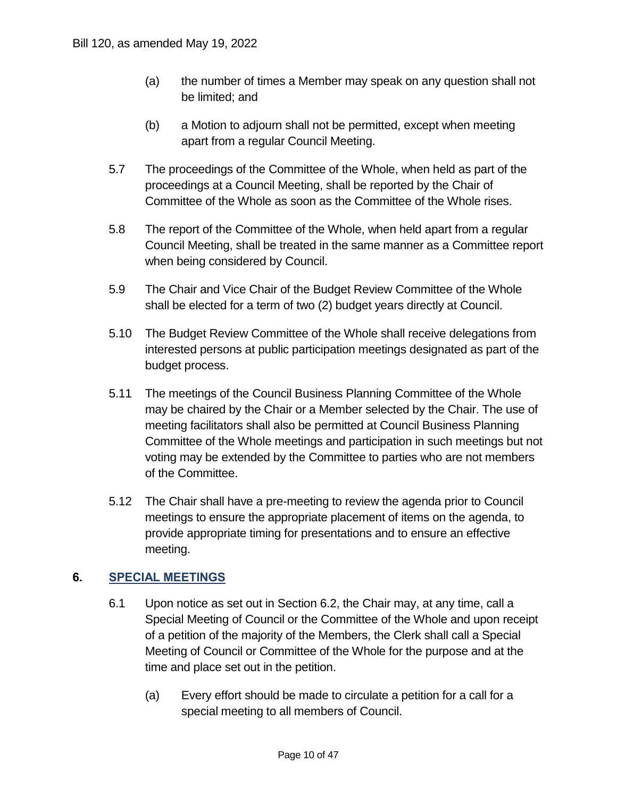- (a) the number of times a Member may speak on any question shall not be limited; and
- (b) a Motion to adjourn shall not be permitted, except when meeting apart from a regular Council Meeting.
- 5.7 The proceedings of the Committee of the Whole, when held as part of the proceedings at a Council Meeting, shall be reported by the Chair of Committee of the Whole as soon as the Committee of the Whole rises.
- 5.8 The report of the Committee of the Whole, when held apart from a regular Council Meeting, shall be treated in the same manner as a Committee report when being considered by Council.
- 5.9 The Chair and Vice Chair of the Budget Review Committee of the Whole shall be elected for a term of two (2) budget years directly at Council.
- 5.10 The Budget Review Committee of the Whole shall receive delegations from interested persons at public participation meetings designated as part of the budget process.
- 5.11 The meetings of the Council Business Planning Committee of the Whole may be chaired by the Chair or a Member selected by the Chair. The use of meeting facilitators shall also be permitted at Council Business Planning Committee of the Whole meetings and participation in such meetings but not voting may be extended by the Committee to parties who are not members of the Committee.
- 5.12 The Chair shall have a pre-meeting to review the agenda prior to Council meetings to ensure the appropriate placement of items on the agenda, to provide appropriate timing for presentations and to ensure an effective meeting.

#### **6. SPECIAL MEETINGS**

- 6.1 Upon notice as set out in Section 6.2, the Chair may, at any time, call a Special Meeting of Council or the Committee of the Whole and upon receipt of a petition of the majority of the Members, the Clerk shall call a Special Meeting of Council or Committee of the Whole for the purpose and at the time and place set out in the petition.
	- (a) Every effort should be made to circulate a petition for a call for a special meeting to all members of Council.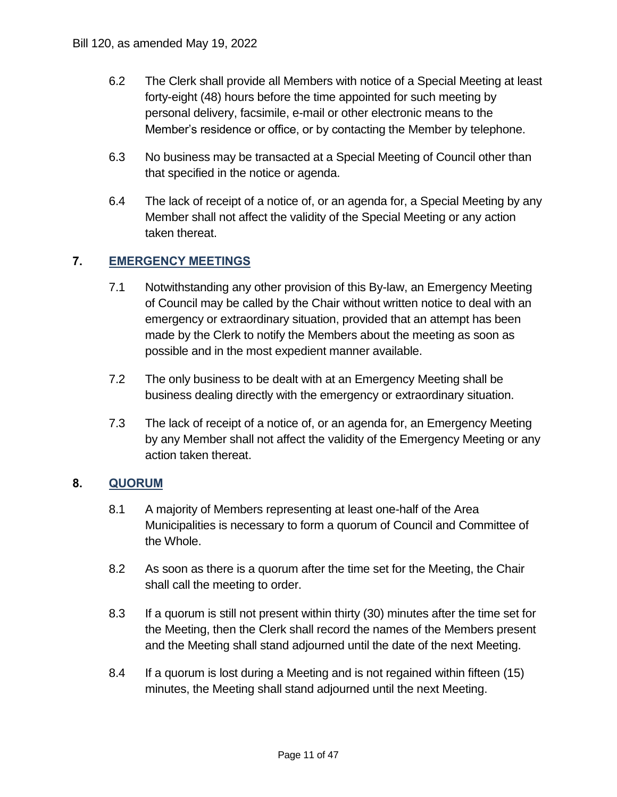- Bill 120, as amended May 19, 2022<br>6.2 The Clerk shall provide<br>forty-eight (48) hours k<br>personal delivery, facs<br>Member's residence o 6.2 The Clerk shall provide all Members with notice of a Special Meeting at least forty-eight (48) hours before the time appointed for such meeting by personal delivery, facsimile, e-mail or other electronic means to the Member's residence or office, or by contacting the Member by telephone.
	- 6.3 No business may be transacted at a Special Meeting of Council other than that specified in the notice or agenda.
	- 6.4 The lack of receipt of a notice of, or an agenda for, a Special Meeting by any Member shall not affect the validity of the Special Meeting or any action taken thereat.

#### **7. EMERGENCY MEETINGS**

- 7.1 Notwithstanding any other provision of this By-law, an Emergency Meeting of Council may be called by the Chair without written notice to deal with an emergency or extraordinary situation, provided that an attempt has been made by the Clerk to notify the Members about the meeting as soon as possible and in the most expedient manner available.
- 7.2 The only business to be dealt with at an Emergency Meeting shall be business dealing directly with the emergency or extraordinary situation.
- 7.3 The lack of receipt of a notice of, or an agenda for, an Emergency Meeting by any Member shall not affect the validity of the Emergency Meeting or any action taken thereat.

#### **8. QUORUM**

- 8.1 A majority of Members representing at least one-half of the Area Municipalities is necessary to form a quorum of Council and Committee of the Whole.
- 8.2 As soon as there is a quorum after the time set for the Meeting, the Chair shall call the meeting to order.
- 8.3 If a quorum is still not present within thirty (30) minutes after the time set for the Meeting, then the Clerk shall record the names of the Members present and the Meeting shall stand adjourned until the date of the next Meeting.
- 8.4 If a quorum is lost during a Meeting and is not regained within fifteen (15) minutes, the Meeting shall stand adjourned until the next Meeting.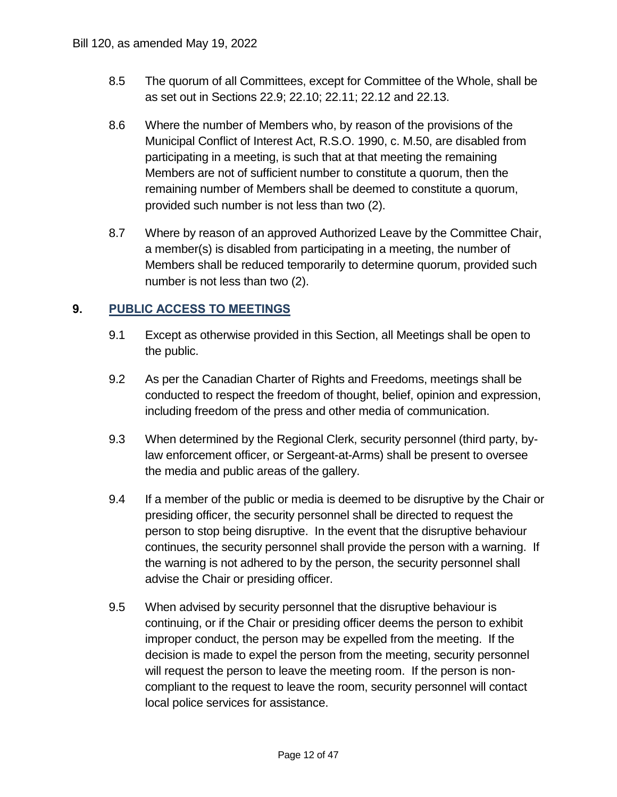- 8.5 The quorum of all Committees, except for Committee of the Whole, shall be as set out in Sections 22.9; 22.10; 22.11; 22.12 and 22.13.
- 8.6 Where the number of Members who, by reason of the provisions of the Municipal Conflict of Interest Act, R.S.O. 1990, c. M.50, are disabled from participating in a meeting, is such that at that meeting the remaining Members are not of sufficient number to constitute a quorum, then the remaining number of Members shall be deemed to constitute a quorum, provided such number is not less than two (2).
- 8.7 Where by reason of an approved Authorized Leave by the Committee Chair, a member(s) is disabled from participating in a meeting, the number of Members shall be reduced temporarily to determine quorum, provided such number is not less than two (2).

#### **9. PUBLIC ACCESS TO MEETINGS**

- 9.1 Except as otherwise provided in this Section, all Meetings shall be open to the public.
- 9.2 As per the Canadian Charter of Rights and Freedoms, meetings shall be conducted to respect the freedom of thought, belief, opinion and expression, including freedom of the press and other media of communication.
- 9.3 When determined by the Regional Clerk, security personnel (third party, by- law enforcement officer, or Sergeant-at-Arms) shall be present to oversee the media and public areas of the gallery.
- 9.4 If a member of the public or media is deemed to be disruptive by the Chair or presiding officer, the security personnel shall be directed to request the person to stop being disruptive. In the event that the disruptive behaviour continues, the security personnel shall provide the person with a warning. If the warning is not adhered to by the person, the security personnel shall advise the Chair or presiding officer.
- 9.5 When advised by security personnel that the disruptive behaviour is continuing, or if the Chair or presiding officer deems the person to exhibit improper conduct, the person may be expelled from the meeting. If the decision is made to expel the person from the meeting, security personnel will request the person to leave the meeting room. If the person is non- compliant to the request to leave the room, security personnel will contact local police services for assistance.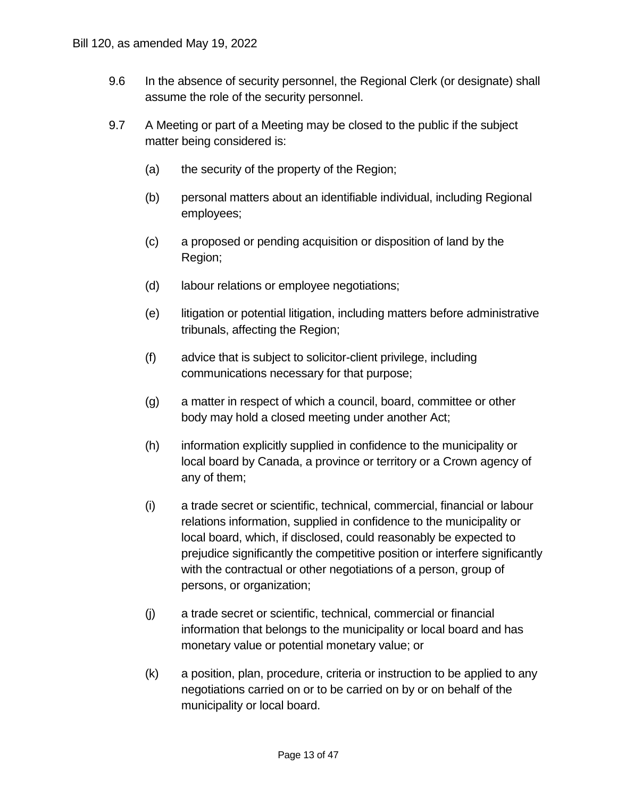- 9.6 In the absence of security personnel, the Regional Clerk (or designate) shall assume the role of the security personnel.
- 9.7 A Meeting or part of a Meeting may be closed to the public if the subject matter being considered is:
	- (a) the security of the property of the Region;
	- (b) personal matters about an identifiable individual, including Regional employees;
	- (c) a proposed or pending acquisition or disposition of land by the Region;
	- (d) labour relations or employee negotiations;
	- (e) litigation or potential litigation, including matters before administrative tribunals, affecting the Region;
	- (f) advice that is subject to solicitor-client privilege, including communications necessary for that purpose;
	- (g) a matter in respect of which a council, board, committee or other body may hold a closed meeting under another Act;
	- (h) information explicitly supplied in confidence to the municipality or local board by Canada, a province or territory or a Crown agency of any of them;
	- (i) a trade secret or scientific, technical, commercial, financial or labour relations information, supplied in confidence to the municipality or local board, which, if disclosed, could reasonably be expected to prejudice significantly the competitive position or interfere significantly with the contractual or other negotiations of a person, group of persons, or organization;
	- (j) a trade secret or scientific, technical, commercial or financial information that belongs to the municipality or local board and has monetary value or potential monetary value; or
	- (k) a position, plan, procedure, criteria or instruction to be applied to any negotiations carried on or to be carried on by or on behalf of the municipality or local board.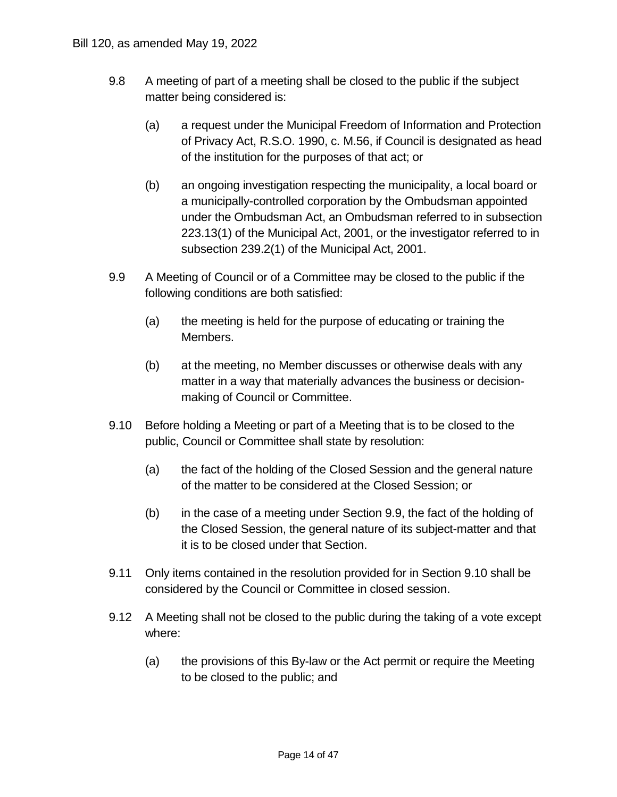- 9.8 A meeting of part of a meeting shall be closed to the public if the subject matter being considered is:
	- (a) a request under the Municipal Freedom of Information and Protection of Privacy Act, R.S.O. 1990, c. M.56, if Council is designated as head of the institution for the purposes of that act; or
	- (b) an ongoing investigation respecting the municipality, a local board or a municipally-controlled corporation by the Ombudsman appointed under the Ombudsman Act, an Ombudsman referred to in subsection 223.13(1) of the Municipal Act, 2001, or the investigator referred to in subsection 239.2(1) of the Municipal Act, 2001.
- 9.9 A Meeting of Council or of a Committee may be closed to the public if the following conditions are both satisfied:
	- (a) the meeting is held for the purpose of educating or training the Members.
	- (b) at the meeting, no Member discusses or otherwise deals with any matter in a way that materially advances the business or decision-making of Council or Committee.
- 9.10 Before holding a Meeting or part of a Meeting that is to be closed to the public, Council or Committee shall state by resolution:
	- (a) the fact of the holding of the Closed Session and the general nature of the matter to be considered at the Closed Session; or
	- (b) in the case of a meeting under Section 9.9, the fact of the holding of the Closed Session, the general nature of its subject-matter and that it is to be closed under that Section.
- 9.11 Only items contained in the resolution provided for in Section 9.10 shall be considered by the Council or Committee in closed session.
- 9.12 A Meeting shall not be closed to the public during the taking of a vote except where:
	- (a) the provisions of this By-law or the Act permit or require the Meeting to be closed to the public; and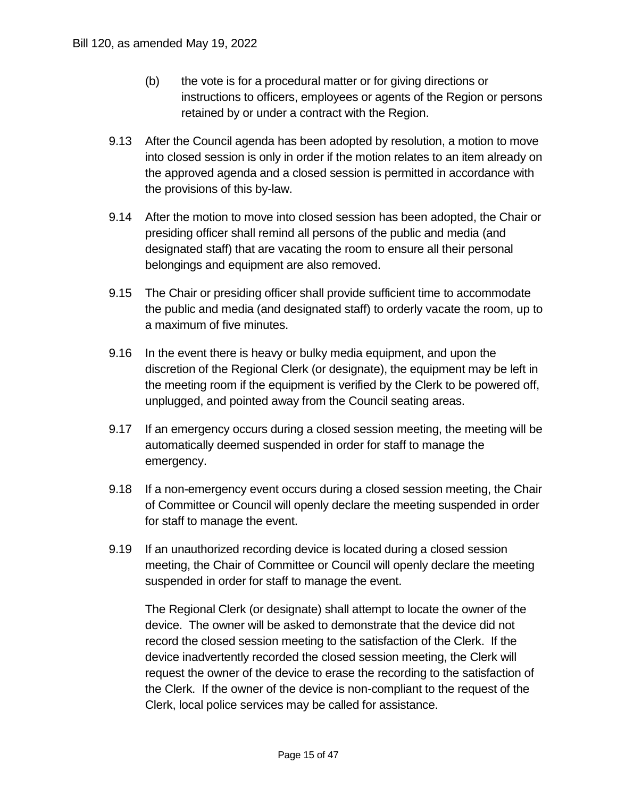- (b) the vote is for a procedural matter or for giving directions or instructions to officers, employees or agents of the Region or persons retained by or under a contract with the Region.
- 9.13 After the Council agenda has been adopted by resolution, a motion to move into closed session is only in order if the motion relates to an item already on the approved agenda and a closed session is permitted in accordance with the provisions of this by-law.
- 9.14 After the motion to move into closed session has been adopted, the Chair or presiding officer shall remind all persons of the public and media (and designated staff) that are vacating the room to ensure all their personal belongings and equipment are also removed.
- 9.15 The Chair or presiding officer shall provide sufficient time to accommodate the public and media (and designated staff) to orderly vacate the room, up to a maximum of five minutes.
- 9.16 In the event there is heavy or bulky media equipment, and upon the discretion of the Regional Clerk (or designate), the equipment may be left in the meeting room if the equipment is verified by the Clerk to be powered off, unplugged, and pointed away from the Council seating areas.
- 9.17 If an emergency occurs during a closed session meeting, the meeting will be automatically deemed suspended in order for staff to manage the emergency.
- 9.18 If a non-emergency event occurs during a closed session meeting, the Chair of Committee or Council will openly declare the meeting suspended in order for staff to manage the event.
- 9.19 If an unauthorized recording device is located during a closed session meeting, the Chair of Committee or Council will openly declare the meeting suspended in order for staff to manage the event.

 The Regional Clerk (or designate) shall attempt to locate the owner of the device. The owner will be asked to demonstrate that the device did not record the closed session meeting to the satisfaction of the Clerk. If the device inadvertently recorded the closed session meeting, the Clerk will request the owner of the device to erase the recording to the satisfaction of the Clerk. If the owner of the device is non-compliant to the request of the Clerk, local police services may be called for assistance.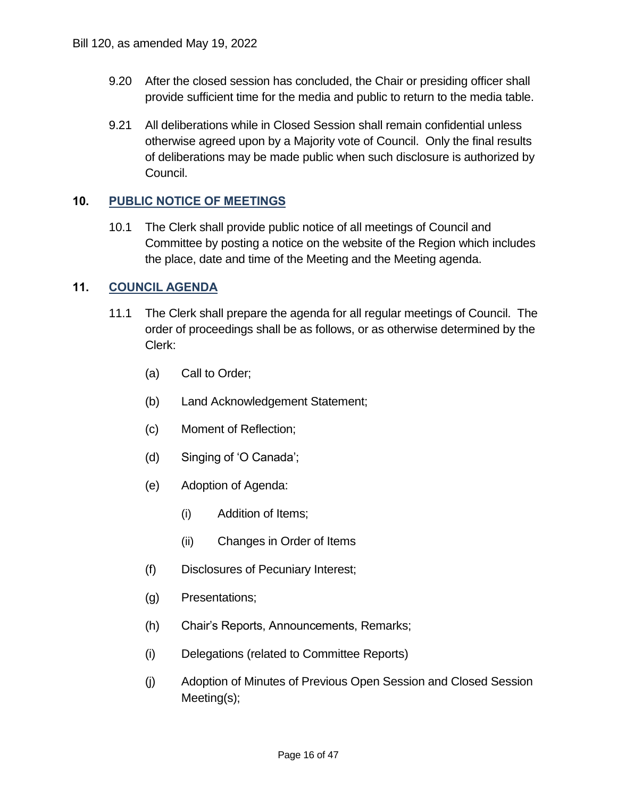- 9.20 After the closed session has concluded, the Chair or presiding officer shall provide sufficient time for the media and public to return to the media table.
- 9.21 All deliberations while in Closed Session shall remain confidential unless otherwise agreed upon by a Majority vote of Council. Only the final results of deliberations may be made public when such disclosure is authorized by Bill 120, as amended May 19, 2022<br>
9.20 After the closed sessic<br>
provide sufficient time<br>
19.21 All deliberations while<br>
of deliberations may b<br>
Council.<br>
10. PUBLIC NOTICE OF MEETI<br>
10.1 The Clerk shall provide<br>
Committee Council.

#### **10. PUBLIC NOTICE OF MEETINGS**

 10.1 The Clerk shall provide public notice of all meetings of Council and Committee by posting a notice on the website of the Region which includes the place, date and time of the Meeting and the Meeting agenda.

#### **11. COUNCIL AGENDA**

- 11.1 The Clerk shall prepare the agenda for all regular meetings of Council. The order of proceedings shall be as follows, or as otherwise determined by the Clerk:
	- (a) Call to Order;
	- (b) Land Acknowledgement Statement;
	- (c) Moment of Reflection;
	- (d) Singing of 'O Canada';
	- (e) Adoption of Agenda:
		- (i) Addition of Items;
		- (ii) Changes in Order of Items
	- (f) Disclosures of Pecuniary Interest;
	- (g) Presentations;
	- (h) Chair's Reports, Announcements, Remarks;
	- (i) Delegations (related to Committee Reports)
	- (j) Adoption of Minutes of Previous Open Session and Closed Session Meeting(s);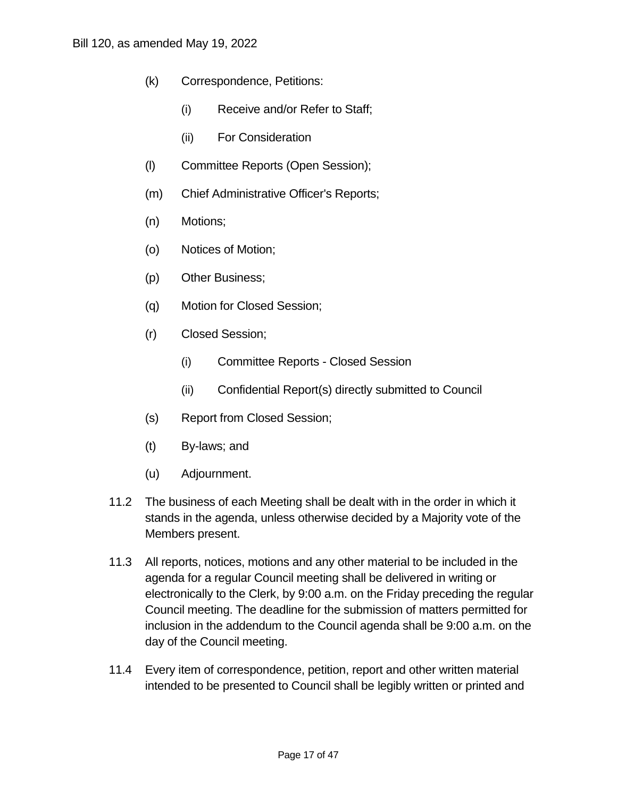- (k) Correspondence, Petitions:
	- (i) Receive and/or Refer to Staff;
	- (ii) For Consideration
- (l) Committee Reports (Open Session);
- (m) Chief Administrative Officer's Reports;
- (n) Motions;
- (o) Notices of Motion;
- (p) Other Business;
- (q) Motion for Closed Session;
- (r) Closed Session;
	- (i) Committee Reports Closed Session
	- (ii) Confidential Report(s) directly submitted to Council
- (s) Report from Closed Session;
- (t) By-laws; and
- (u) Adjournment.
- 11.2 The business of each Meeting shall be dealt with in the order in which it stands in the agenda, unless otherwise decided by a Majority vote of the Members present.
- 11.3 All reports, notices, motions and any other material to be included in the agenda for a regular Council meeting shall be delivered in writing or electronically to the Clerk, by 9:00 a.m. on the Friday preceding the regular Council meeting. The deadline for the submission of matters permitted for inclusion in the addendum to the Council agenda shall be 9:00 a.m. on the day of the Council meeting.
- 11.4 Every item of correspondence, petition, report and other written material intended to be presented to Council shall be legibly written or printed and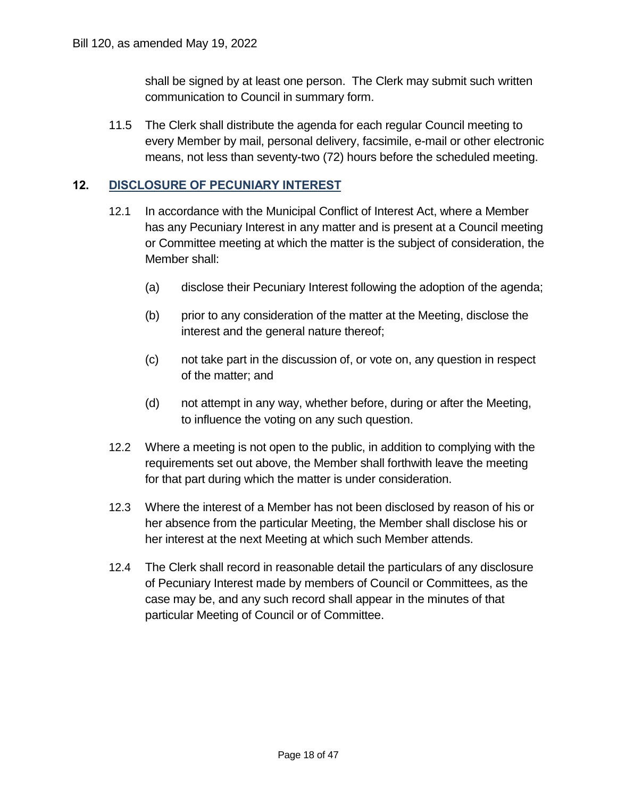shall be signed by at least one person. The Clerk may submit such written communication to Council in summary form.

 11.5 The Clerk shall distribute the agenda for each regular Council meeting to every Member by mail, personal delivery, facsimile, e-mail or other electronic means, not less than seventy-two (72) hours before the scheduled meeting.

#### **12. DISCLOSURE OF PECUNIARY INTEREST**

- 12.1 In accordance with the Municipal Conflict of Interest Act, where a Member has any Pecuniary Interest in any matter and is present at a Council meeting or Committee meeting at which the matter is the subject of consideration, the Member shall:
	- (a) disclose their Pecuniary Interest following the adoption of the agenda;
	- (b) prior to any consideration of the matter at the Meeting, disclose the interest and the general nature thereof;
	- (c) not take part in the discussion of, or vote on, any question in respect of the matter; and
	- (d) not attempt in any way, whether before, during or after the Meeting, to influence the voting on any such question.
- 12.2 Where a meeting is not open to the public, in addition to complying with the requirements set out above, the Member shall forthwith leave the meeting for that part during which the matter is under consideration.
- 12.3 Where the interest of a Member has not been disclosed by reason of his or her absence from the particular Meeting, the Member shall disclose his or her interest at the next Meeting at which such Member attends.
- 12.4 The Clerk shall record in reasonable detail the particulars of any disclosure of Pecuniary Interest made by members of Council or Committees, as the case may be, and any such record shall appear in the minutes of that particular Meeting of Council or of Committee.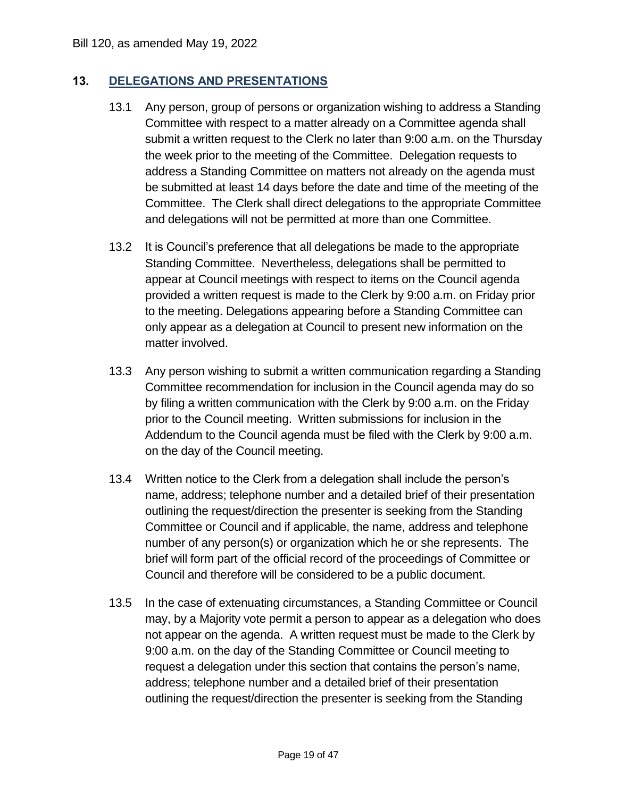#### **13. DELEGATIONS AND PRESENTATIONS**

- 13.1 Any person, group of persons or organization wishing to address a Standing Committee with respect to a matter already on a Committee agenda shall submit a written request to the Clerk no later than 9:00 a.m. on the Thursday the week prior to the meeting of the Committee. Delegation requests to address a Standing Committee on matters not already on the agenda must be submitted at least 14 days before the date and time of the meeting of the Committee. The Clerk shall direct delegations to the appropriate Committee and delegations will not be permitted at more than one Committee. Bill 120, as amended May 19, 2022<br>
13. DELEGATIONS AND PRESI<br>
13.1 Any person, group of p<br>
committee with respeer<br>
submit a written reque<br>
the week prior to the m<br>
address a Standing Cd<br>
be submittee. The Clerk<br>
committee.
	- 13.2 It is Council's preference that all delegations be made to the appropriate Standing Committee. Nevertheless, delegations shall be permitted to appear at Council meetings with respect to items on the Council agenda provided a written request is made to the Clerk by 9:00 a.m. on Friday prior to the meeting. Delegations appearing before a Standing Committee can only appear as a delegation at Council to present new information on the matter involved.
	- 13.3 Any person wishing to submit a written communication regarding a Standing Committee recommendation for inclusion in the Council agenda may do so by filing a written communication with the Clerk by 9:00 a.m. on the Friday prior to the Council meeting. Written submissions for inclusion in the Addendum to the Council agenda must be filed with the Clerk by 9:00 a.m. on the day of the Council meeting.
	- 13.4 Written notice to the Clerk from a delegation shall include the person's name, address; telephone number and a detailed brief of their presentation outlining the request/direction the presenter is seeking from the Standing Committee or Council and if applicable, the name, address and telephone number of any person(s) or organization which he or she represents. The brief will form part of the official record of the proceedings of Committee or Council and therefore will be considered to be a public document.
	- 13.5 In the case of extenuating circumstances, a Standing Committee or Council may, by a Majority vote permit a person to appear as a delegation who does not appear on the agenda. A written request must be made to the Clerk by 9:00 a.m. on the day of the Standing Committee or Council meeting to request a delegation under this section that contains the person's name, address; telephone number and a detailed brief of their presentation outlining the request/direction the presenter is seeking from the Standing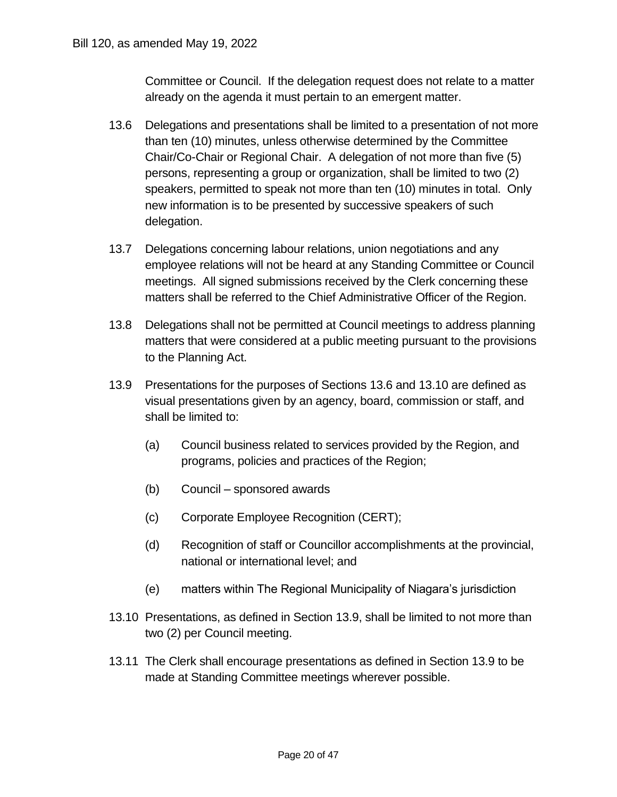Committee or Council. If the delegation request does not relate to a matter already on the agenda it must pertain to an emergent matter.

- 13.6 Delegations and presentations shall be limited to a presentation of not more than ten (10) minutes, unless otherwise determined by the Committee Chair/Co-Chair or Regional Chair. A delegation of not more than five (5) persons, representing a group or organization, shall be limited to two (2) speakers, permitted to speak not more than ten (10) minutes in total. Only new information is to be presented by successive speakers of such delegation.
- 13.7 Delegations concerning labour relations, union negotiations and any employee relations will not be heard at any Standing Committee or Council meetings. All signed submissions received by the Clerk concerning these matters shall be referred to the Chief Administrative Officer of the Region.
- 13.8 Delegations shall not be permitted at Council meetings to address planning matters that were considered at a public meeting pursuant to the provisions to the Planning Act.
- 13.9 Presentations for the purposes of Sections 13.6 and 13.10 are defined as visual presentations given by an agency, board, commission or staff, and shall be limited to:
	- (a) Council business related to services provided by the Region, and programs, policies and practices of the Region;
	- (b) Council sponsored awards
	- (c) Corporate Employee Recognition (CERT);
	- (d) Recognition of staff or Councillor accomplishments at the provincial, national or international level; and
	- (e) matters within The Regional Municipality of Niagara's jurisdiction
- 13.10 Presentations, as defined in Section 13.9, shall be limited to not more than two (2) per Council meeting.
- 13.11 The Clerk shall encourage presentations as defined in Section 13.9 to be made at Standing Committee meetings wherever possible.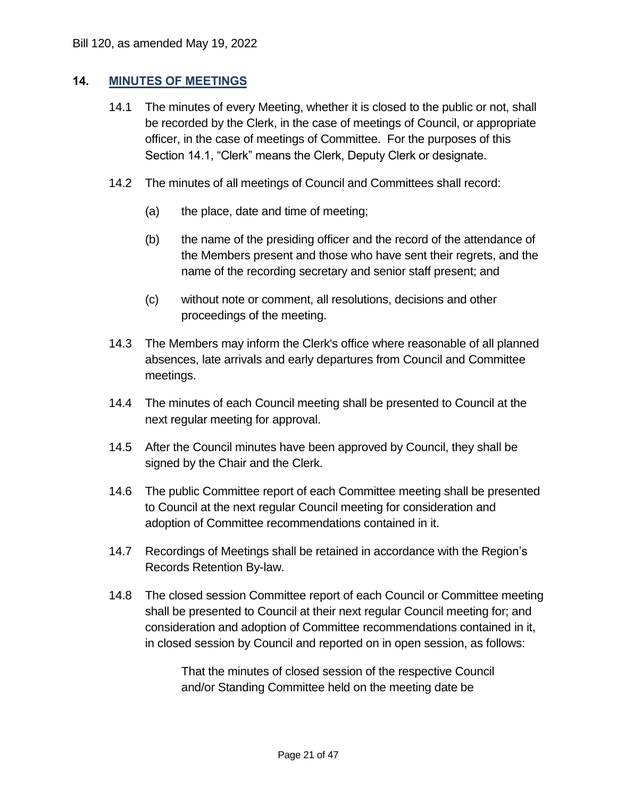#### **14. MINUTES OF MEETINGS**

- 14.1 The minutes of every Meeting, whether it is closed to the public or not, shall be recorded by the Clerk, in the case of meetings of Council, or appropriate officer, in the case of meetings of Committee. For the purposes of this Section 14.1, "Clerk" means the Clerk, Deputy Clerk or designate. Bill 120, as amended May 19, 2022<br> **14.** MINUTES OF MEETINGS<br>
14.1 The minutes of every I<br>
be recorded by the Cle<br>
officer, in the case of r<br>
Section 14.1, "Clerk" n
	- 14.2 The minutes of all meetings of Council and Committees shall record:
		- (a) the place, date and time of meeting;
		- (b) the name of the presiding officer and the record of the attendance of the Members present and those who have sent their regrets, and the name of the recording secretary and senior staff present; and
		- (c) without note or comment, all resolutions, decisions and other proceedings of the meeting.
	- 14.3 The Members may inform the Clerk's office where reasonable of all planned absences, late arrivals and early departures from Council and Committee meetings.
	- 14.4 The minutes of each Council meeting shall be presented to Council at the next regular meeting for approval.
	- 14.5 After the Council minutes have been approved by Council, they shall be signed by the Chair and the Clerk.
	- 14.6 The public Committee report of each Committee meeting shall be presented to Council at the next regular Council meeting for consideration and adoption of Committee recommendations contained in it.
	- 14.7 Recordings of Meetings shall be retained in accordance with the Region's Records Retention By-law.
	- 14.8 The closed session Committee report of each Council or Committee meeting shall be presented to Council at their next regular Council meeting for; and consideration and adoption of Committee recommendations contained in it, in closed session by Council and reported on in open session, as follows:

 That the minutes of closed session of the respective Council and/or Standing Committee held on the meeting date be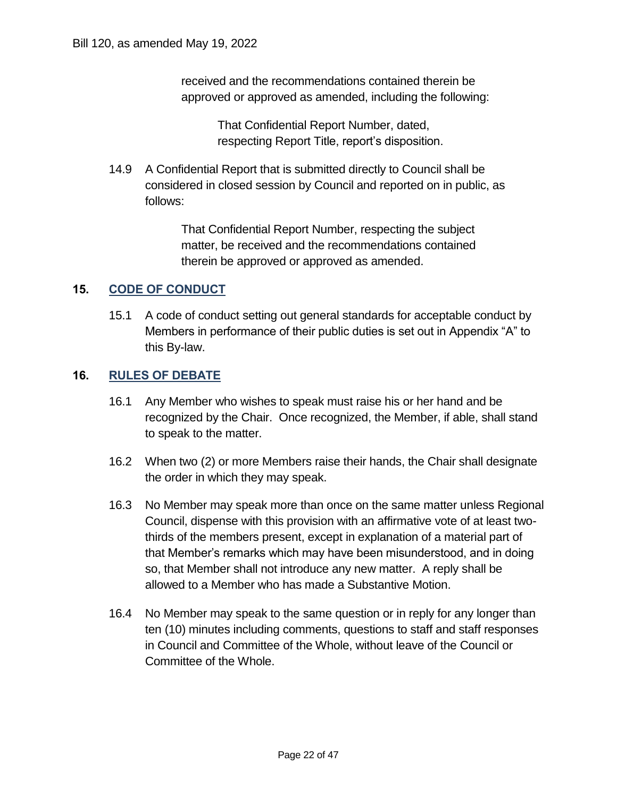received and the recommendations contained therein be approved or approved as amended, including the following:

> That Confidential Report Number, dated, respecting Report Title, report's disposition.

 14.9 A Confidential Report that is submitted directly to Council shall be considered in closed session by Council and reported on in public, as follows:

> That Confidential Report Number, respecting the subject matter, be received and the recommendations contained therein be approved or approved as amended.

#### **15. CODE OF CONDUCT**

 15.1 A code of conduct setting out general standards for acceptable conduct by Members in performance of their public duties is set out in Appendix "A" to this By-law.

#### **16. RULES OF DEBATE**

- 16.1 Any Member who wishes to speak must raise his or her hand and be recognized by the Chair. Once recognized, the Member, if able, shall stand to speak to the matter.
- 16.2 When two (2) or more Members raise their hands, the Chair shall designate the order in which they may speak.
- 16.3 No Member may speak more than once on the same matter unless Regional Council, dispense with this provision with an affirmative vote of at least two- thirds of the members present, except in explanation of a material part of that Member's remarks which may have been misunderstood, and in doing so, that Member shall not introduce any new matter. A reply shall be allowed to a Member who has made a Substantive Motion. in pe<br>
w.<br> **BATE**<br>
ber w<br>
d by t<br>
d by t<br>
d by t<br>
in wh<br>
ber me<br>
he me<br>
ber's
- 16.4 No Member may speak to the same question or in reply for any longer than ten (10) minutes including comments, questions to staff and staff responses in Council and Committee of the Whole, without leave of the Council or Committee of the Whole.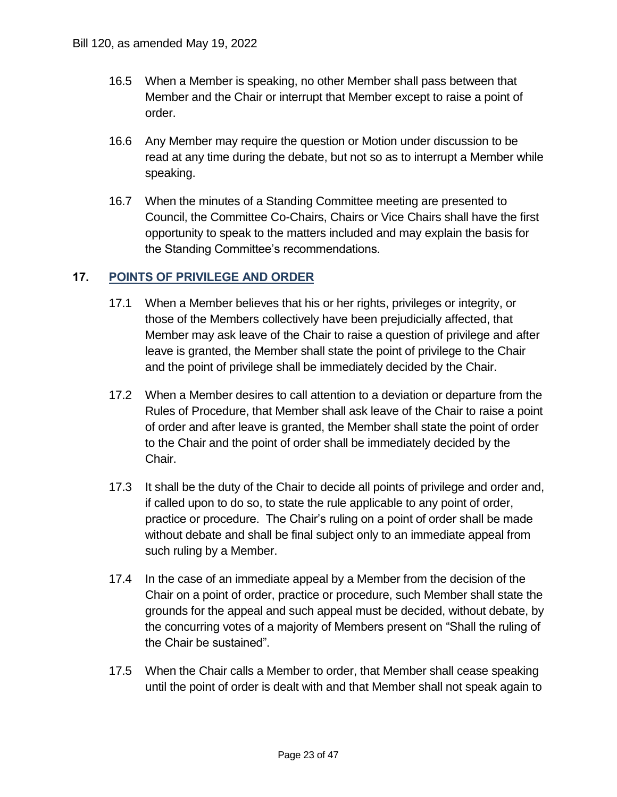- 16.5 When a Member is speaking, no other Member shall pass between that Member and the Chair or interrupt that Member except to raise a point of order.
- 16.6 Any Member may require the question or Motion under discussion to be read at any time during the debate, but not so as to interrupt a Member while speaking.
- 16.7 When the minutes of a Standing Committee meeting are presented to Council, the Committee Co-Chairs, Chairs or Vice Chairs shall have the first opportunity to speak to the matters included and may explain the basis for the Standing Committee's recommendations.

#### **17. POINTS OF PRIVILEGE AND ORDER**

- 17.1 When a Member believes that his or her rights, privileges or integrity, or those of the Members collectively have been prejudicially affected, that Member may ask leave of the Chair to raise a question of privilege and after leave is granted, the Member shall state the point of privilege to the Chair and the point of privilege shall be immediately decided by the Chair. Standing Committee's recomn<br>
DF PRIVILEGE AND ORDER<br>
len a Member believes that his<br>
se of the Members collectively<br>
mber may ask leave of the Cha<br>
ve is granted, the Member shall<br>
d the point of privilege shall be i<br>
len Bill 120, as amended May 19, 2022<br>
16.5 When a Member is sp<br>
Member and the Chaii<br>
order.<br>
16.6 Any Member may requ<br>
read at any time during<br>
speaking.<br>
16.7 When the minutes of a<br>
Council, the Committe<br>
opportunity to spe
	- 17.2 When a Member desires to call attention to a deviation or departure from the Rules of Procedure, that Member shall ask leave of the Chair to raise a point of order and after leave is granted, the Member shall state the point of order to the Chair and the point of order shall be immediately decided by the Chair.
	- 17.3 It shall be the duty of the Chair to decide all points of privilege and order and, if called upon to do so, to state the rule applicable to any point of order, practice or procedure. The Chair's ruling on a point of order shall be made without debate and shall be final subject only to an immediate appeal from such ruling by a Member.
	- 17.4 In the case of an immediate appeal by a Member from the decision of the Chair on a point of order, practice or procedure, such Member shall state the grounds for the appeal and such appeal must be decided, without debate, by the concurring votes of a majority of Members present on "Shall the ruling of the Chair be sustained".
	- 17.5 When the Chair calls a Member to order, that Member shall cease speaking until the point of order is dealt with and that Member shall not speak again to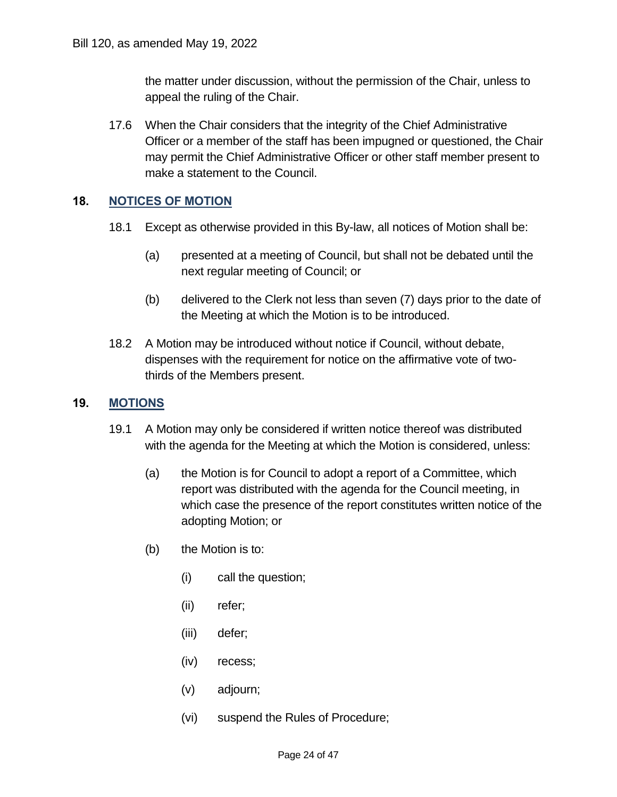the matter under discussion, without the permission of the Chair, unless to appeal the ruling of the Chair.

 17.6 When the Chair considers that the integrity of the Chief Administrative Officer or a member of the staff has been impugned or questioned, the Chair may permit the Chief Administrative Officer or other staff member present to make a statement to the Council.

#### **18. NOTICES OF MOTION**

- 18.1 Except as otherwise provided in this By-law, all notices of Motion shall be:
	- (a) presented at a meeting of Council, but shall not be debated until the next regular meeting of Council; or
	- (b) delivered to the Clerk not less than seven (7) days prior to the date of the Meeting at which the Motion is to be introduced.
- 18.2 A Motion may be introduced without notice if Council, without debate, dispenses with the requirement for notice on the affirmative vote of two-thirds of the Members present.

#### **19. MOTIONS**

- 19.1 A Motion may only be considered if written notice thereof was distributed with the agenda for the Meeting at which the Motion is considered, unless:
	- (a) the Motion is for Council to adopt a report of a Committee, which report was distributed with the agenda for the Council meeting, in which case the presence of the report constitutes written notice of the adopting Motion; or
	- (b) the Motion is to:
		- (i) call the question;
		- (ii) refer;
		- (iii) defer;
		- (iv) recess;
		- (v) adjourn;
		- (vi) suspend the Rules of Procedure;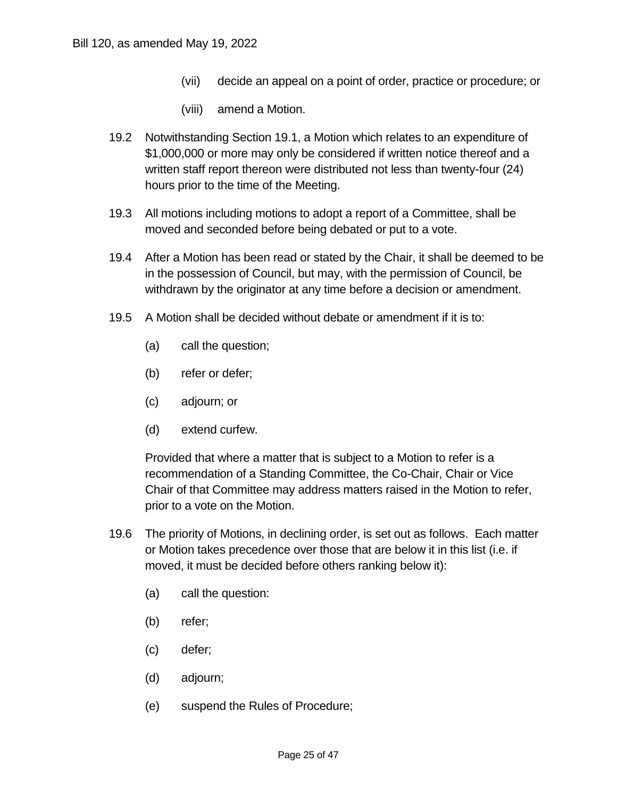- (vii) decide an appeal on a point of order, practice or procedure; or
- (viii) amend a Motion.
- 19.2 Notwithstanding Section 19.1, a Motion which relates to an expenditure of \$1,000,000 or more may only be considered if written notice thereof and a written staff report thereon were distributed not less than twenty-four (24) hours prior to the time of the Meeting.
- 19.3 All motions including motions to adopt a report of a Committee, shall be moved and seconded before being debated or put to a vote.
- 19.4 After a Motion has been read or stated by the Chair, it shall be deemed to be in the possession of Council, but may, with the permission of Council, be withdrawn by the originator at any time before a decision or amendment.
- 19.5 A Motion shall be decided without debate or amendment if it is to:
	- (a) call the question;
	- (b) refer or defer;
	- (c) adjourn; or
	- (d) extend curfew.

 Provided that where a matter that is subject to a Motion to refer is a recommendation of a Standing Committee, the Co-Chair, Chair or Vice Chair of that Committee may address matters raised in the Motion to refer, prior to a vote on the Motion.

- 19.6 The priority of Motions, in declining order, is set out as follows. Each matter or Motion takes precedence over those that are below it in this list (i.e. if moved, it must be decided before others ranking below it):
	- (a) call the question:
	- (b) refer;
	- (c) defer;
	- (d) adjourn;
	- (e) suspend the Rules of Procedure;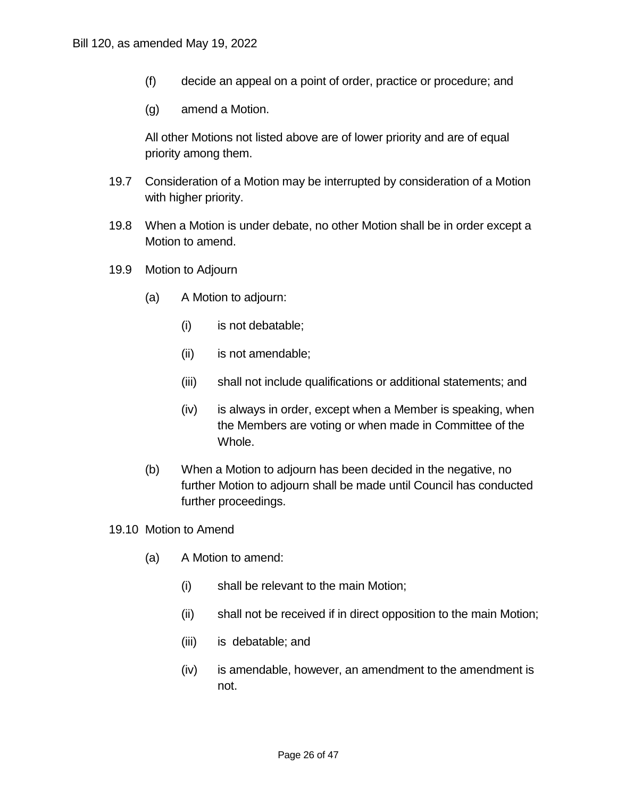- (f) decide an appeal on a point of order, practice or procedure; and
- (g) amend a Motion.

 All other Motions not listed above are of lower priority and are of equal priority among them.

- 19.7 Consideration of a Motion may be interrupted by consideration of a Motion with higher priority.
- 19.8 When a Motion is under debate, no other Motion shall be in order except a Motion to amend.
- 19.9 Motion to Adjourn
	- (a) A Motion to adjourn:
		- (i) is not debatable;
		- (ii) is not amendable;
		- (iii) shall not include qualifications or additional statements; and
		- (iv) is always in order, except when a Member is speaking, when the Members are voting or when made in Committee of the Whole.
	- (b) When a Motion to adjourn has been decided in the negative, no further Motion to adjourn shall be made until Council has conducted further proceedings.
- 19.10 Motion to Amend
	- (a) A Motion to amend:
		- (i) shall be relevant to the main Motion;
		- (ii) shall not be received if in direct opposition to the main Motion;
		- (iii) is debatable; and
		- (iv) is amendable, however, an amendment to the amendment is not.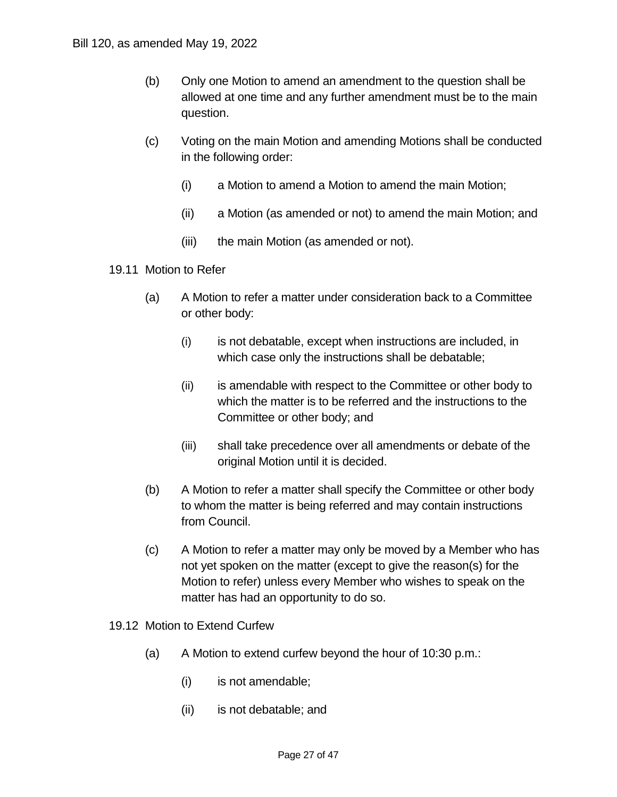- (b) Only one Motion to amend an amendment to the question shall be allowed at one time and any further amendment must be to the main question.
- (c) Voting on the main Motion and amending Motions shall be conducted in the following order:
	- (i) a Motion to amend a Motion to amend the main Motion;
	- (ii) a Motion (as amended or not) to amend the main Motion; and
	- (iii) the main Motion (as amended or not).
- 19.11 Motion to Refer
	- (a) A Motion to refer a matter under consideration back to a Committee or other body:
		- (i) is not debatable, except when instructions are included, in which case only the instructions shall be debatable;
		- (ii) is amendable with respect to the Committee or other body to which the matter is to be referred and the instructions to the Committee or other body; and
		- (iii) shall take precedence over all amendments or debate of the original Motion until it is decided.
	- (b) A Motion to refer a matter shall specify the Committee or other body to whom the matter is being referred and may contain instructions from Council.
	- (c) A Motion to refer a matter may only be moved by a Member who has not yet spoken on the matter (except to give the reason(s) for the Motion to refer) unless every Member who wishes to speak on the matter has had an opportunity to do so.
- 19.12 Motion to Extend Curfew
	- (a) A Motion to extend curfew beyond the hour of 10:30 p.m.:
		- (i) is not amendable;
		- (ii) is not debatable; and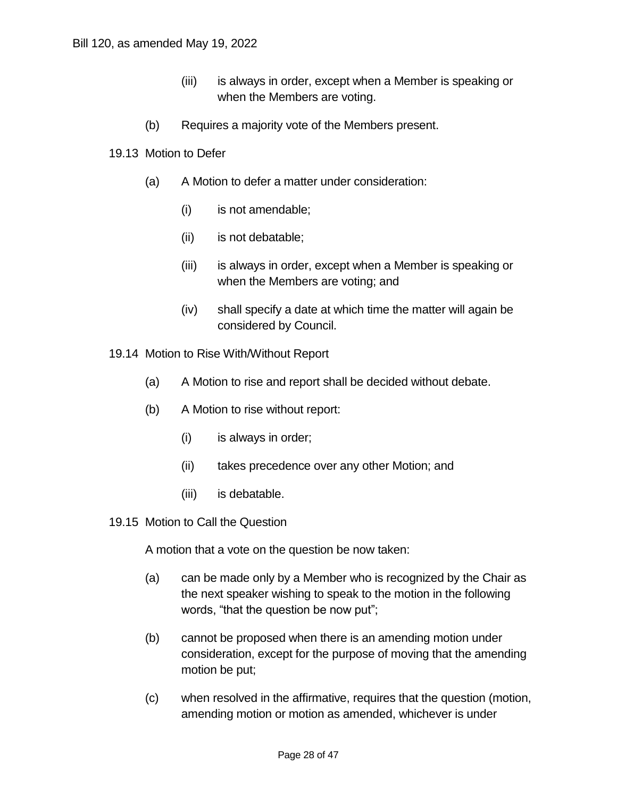- (iii) is always in order, except when a Member is speaking or when the Members are voting.
- (b) Requires a majority vote of the Members present.
- 19.13 Motion to Defer
	- (a) A Motion to defer a matter under consideration:
		- (i) is not amendable;
		- (ii) is not debatable;
		- (iii) is always in order, except when a Member is speaking or when the Members are voting; and
		- (iv) shall specify a date at which time the matter will again be considered by Council.
- 19.14 Motion to Rise With/Without Report
	- (a) A Motion to rise and report shall be decided without debate.
	- (b) A Motion to rise without report:
		- (i) is always in order;
		- (ii) takes precedence over any other Motion; and
		- (iii) is debatable.
- 19.15 Motion to Call the Question

A motion that a vote on the question be now taken:

- (a) can be made only by a Member who is recognized by the Chair as the next speaker wishing to speak to the motion in the following words, "that the question be now put"; Bill 120, as amended May 19, 2022<br>
(iii) is alway:<br>
when the<br>
(b) Requires a maj<br>
19.13 Motion to Defer<br>
(a) A Motion to def<br>
(i) is not an<br>
(ii) is not de<br>
(iii) is alway:<br>
when the<br>
(iv) shall spe<br>
consider<br>
19.14 Motion
	- (b) cannot be proposed when there is an amending motion under consideration, except for the purpose of moving that the amending motion be put;
	- (c) when resolved in the affirmative, requires that the question (motion, amending motion or motion as amended, whichever is under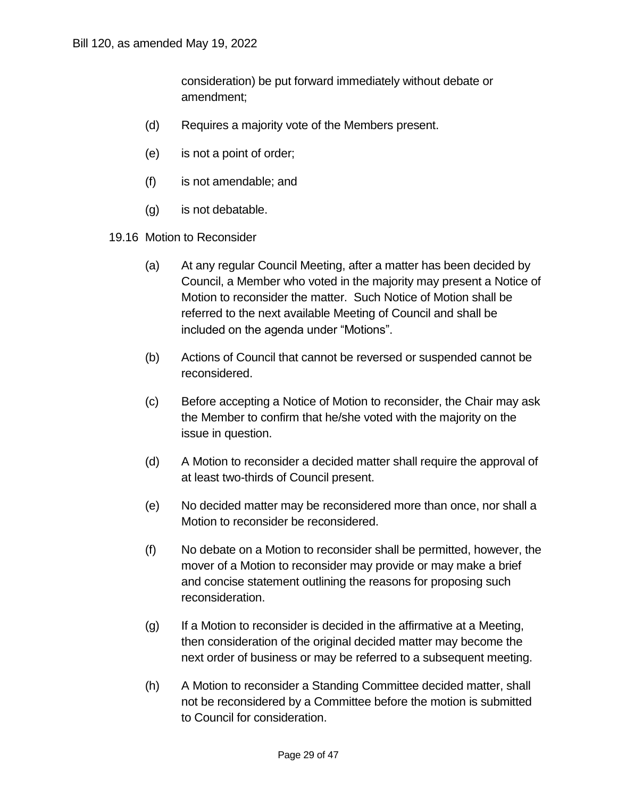consideration) be put forward immediately without debate or amendment;

- (d) Requires a majority vote of the Members present.
- (e) is not a point of order;
- (f) is not amendable; and
- (g) is not debatable.
- 19.16 Motion to Reconsider
- (a) At any regular Council Meeting, after a matter has been decided by Council, a Member who voted in the majority may present a Notice of Motion to reconsider the matter. Such Notice of Motion shall be referred to the next available Meeting of Council and shall be included on the agenda under "Motions". Bill 120, as amended May 19, 2022<br>
consideration)  $\mathsf{I}$ <br>
amendment;<br>
(d) Requires a maj<br>
(e) is not a point of<br>
(f) is not amendab<br>
(g) is not debatable<br>
19.16 Motion to Reconsider<br>
(a) At any regular (Council, a Mem<br>
M
	- (b) Actions of Council that cannot be reversed or suspended cannot be reconsidered.
	- (c) Before accepting a Notice of Motion to reconsider, the Chair may ask the Member to confirm that he/she voted with the majority on the issue in question.
	- (d) A Motion to reconsider a decided matter shall require the approval of at least two-thirds of Council present.
	- (e) No decided matter may be reconsidered more than once, nor shall a Motion to reconsider be reconsidered.
	- (f) No debate on a Motion to reconsider shall be permitted, however, the mover of a Motion to reconsider may provide or may make a brief and concise statement outlining the reasons for proposing such reconsideration.
	- (g) If a Motion to reconsider is decided in the affirmative at a Meeting, then consideration of the original decided matter may become the next order of business or may be referred to a subsequent meeting.
	- (h) A Motion to reconsider a Standing Committee decided matter, shall not be reconsidered by a Committee before the motion is submitted to Council for consideration.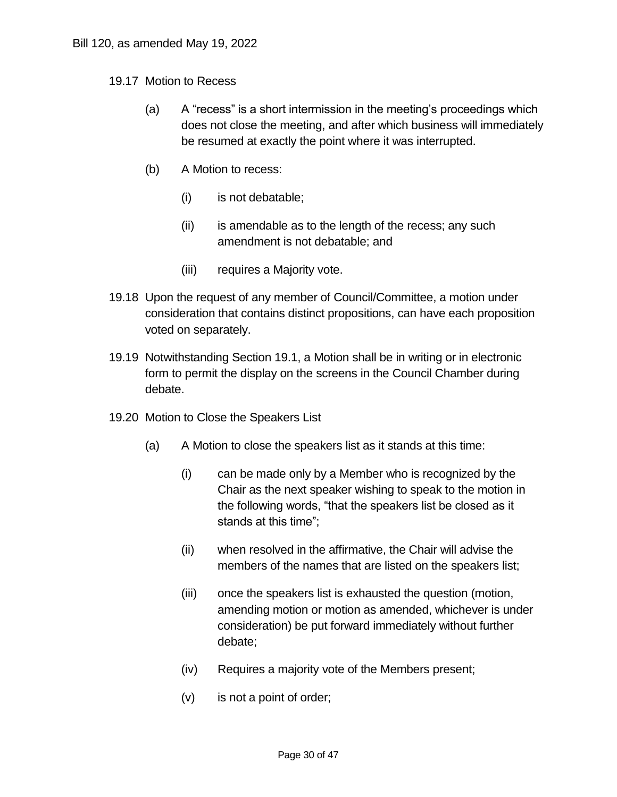- 19.17 Motion to Recess
	- (a) A "recess" is a short intermission in the meeting's proceedings which does not close the meeting, and after which business will immediately be resumed at exactly the point where it was interrupted.
	- (b) A Motion to recess:
		- (i) is not debatable;
		- (ii) is amendable as to the length of the recess; any such amendment is not debatable; and
		- (iii) requires a Majority vote.
- 19.18 Upon the request of any member of Council/Committee, a motion under consideration that contains distinct propositions, can have each proposition voted on separately. Bill 120, as amended May 19, 2022<br>
19.17 Motion to Recess<br>
(a) A "recess" is a short intermi<br>
does not close the meeting,<br>
be resumed at exactly the p<br>
(b) A Motion to recess:<br>
(i) is not debatable;<br>
(ii) is amendable as t
	- 19.19 Notwithstanding Section 19.1, a Motion shall be in writing or in electronic form to permit the display on the screens in the Council Chamber during debate.
	- 19.20 Motion to Close the Speakers List
		- (a) A Motion to close the speakers list as it stands at this time:
			- (i) can be made only by a Member who is recognized by the Chair as the next speaker wishing to speak to the motion in the following words, "that the speakers list be closed as it stands at this time";
			- (ii) when resolved in the affirmative, the Chair will advise the members of the names that are listed on the speakers list;
			- (iii) once the speakers list is exhausted the question (motion, amending motion or motion as amended, whichever is under consideration) be put forward immediately without further debate;
			- (iv) Requires a majority vote of the Members present;
			- (v) is not a point of order;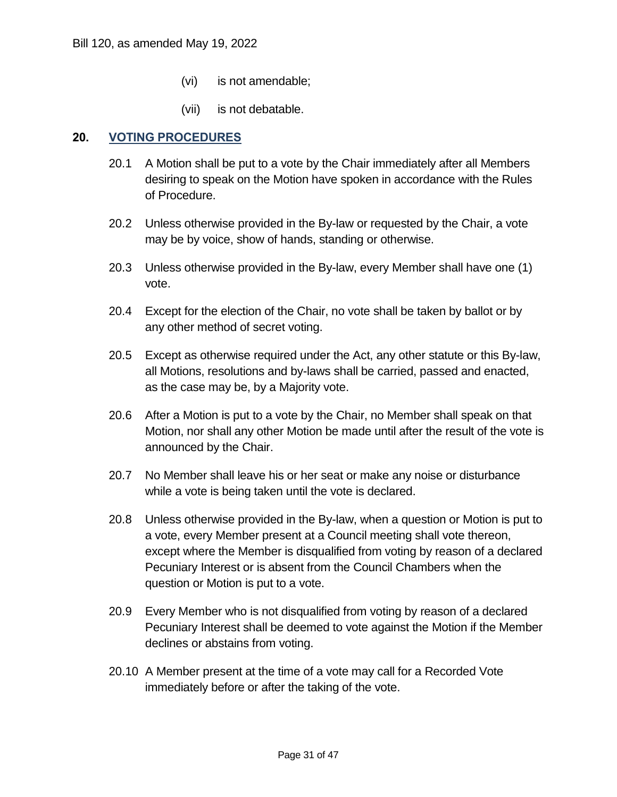- (vi) is not amendable;
- (vii) is not debatable.

#### **20. VOTING PROCEDURES**

- 20.1 A Motion shall be put to a vote by the Chair immediately after all Members desiring to speak on the Motion have spoken in accordance with the Rules of Procedure.
- 20.2 Unless otherwise provided in the By-law or requested by the Chair, a vote may be by voice, show of hands, standing or otherwise.
- 20.3 Unless otherwise provided in the By-law, every Member shall have one (1) vote.
- 20.4 Except for the election of the Chair, no vote shall be taken by ballot or by any other method of secret voting.
- 20.5 Except as otherwise required under the Act, any other statute or this By-law, all Motions, resolutions and by-laws shall be carried, passed and enacted, as the case may be, by a Majority vote.
- 20.6 After a Motion is put to a vote by the Chair, no Member shall speak on that Motion, nor shall any other Motion be made until after the result of the vote is announced by the Chair.
- 20.7 No Member shall leave his or her seat or make any noise or disturbance while a vote is being taken until the vote is declared.
- 20.8 Unless otherwise provided in the By-law, when a question or Motion is put to a vote, every Member present at a Council meeting shall vote thereon, except where the Member is disqualified from voting by reason of a declared Pecuniary Interest or is absent from the Council Chambers when the question or Motion is put to a vote.
- 20.9 Every Member who is not disqualified from voting by reason of a declared Pecuniary Interest shall be deemed to vote against the Motion if the Member declines or abstains from voting.
- 20.10 A Member present at the time of a vote may call for a Recorded Vote immediately before or after the taking of the vote.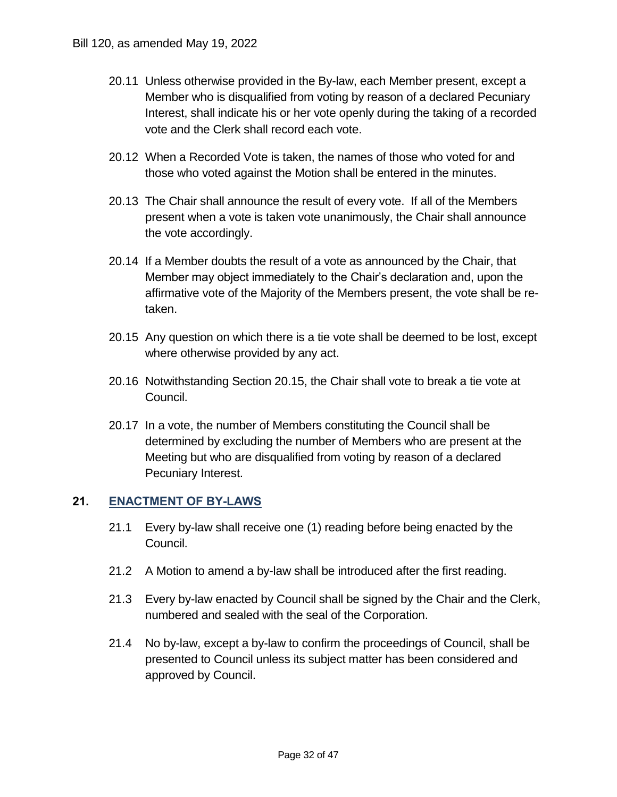- 20.11 Unless otherwise provided in the By-law, each Member present, except a Member who is disqualified from voting by reason of a declared Pecuniary Interest, shall indicate his or her vote openly during the taking of a recorded vote and the Clerk shall record each vote.
- 20.12 When a Recorded Vote is taken, the names of those who voted for and those who voted against the Motion shall be entered in the minutes.
- 20.13 The Chair shall announce the result of every vote. If all of the Members present when a vote is taken vote unanimously, the Chair shall announce the vote accordingly.
- 20.14 If a Member doubts the result of a vote as announced by the Chair, that Member may object immediately to the Chair's declaration and, upon the affirmative vote of the Majority of the Members present, the vote shall be retaken.
- 20.15 Any question on which there is a tie vote shall be deemed to be lost, except where otherwise provided by any act.
- 20.16 Notwithstanding Section 20.15, the Chair shall vote to break a tie vote at Council.
- 20.17 In a vote, the number of Members constituting the Council shall be determined by excluding the number of Members who are present at the Meeting but who are disqualified from voting by reason of a declared Pecuniary Interest.

#### **21. ENACTMENT OF BY-LAWS**

- 21.1 Every by-law shall receive one (1) reading before being enacted by the Council.
- 21.2 A Motion to amend a by-law shall be introduced after the first reading.
- 21.3 Every by-law enacted by Council shall be signed by the Chair and the Clerk, numbered and sealed with the seal of the Corporation.
- 21.4 No by-law, except a by-law to confirm the proceedings of Council, shall be presented to Council unless its subject matter has been considered and approved by Council.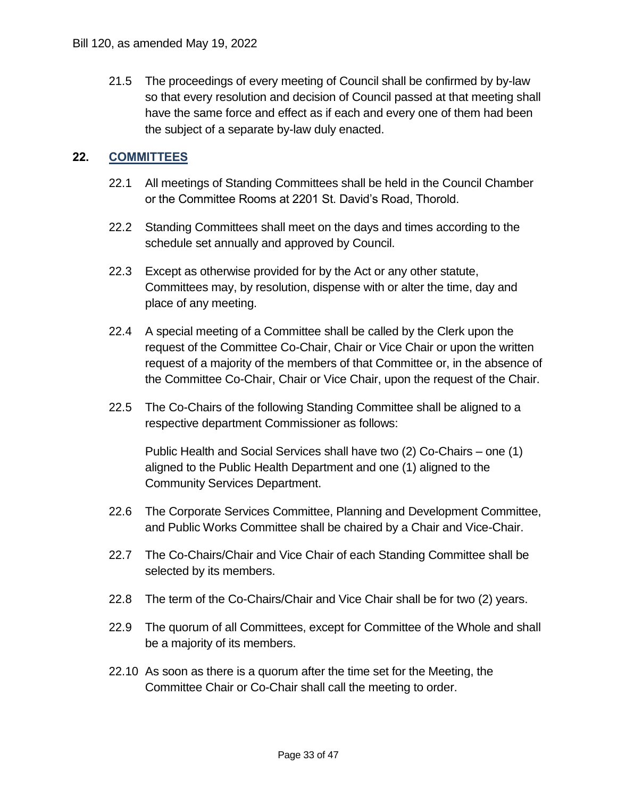21.5 The proceedings of every meeting of Council shall be confirmed by by-law so that every resolution and decision of Council passed at that meeting shall have the same force and effect as if each and every one of them had been the subject of a separate by-law duly enacted. Bill 120, as amended May 19, 2022<br>
21.5 The proceedings of ev<br>
so that every resolutio<br>
have the same force a<br>
the subject of a separa<br>
22. COMMITTEES<br>
22.1 All meetings of Standin<br>
or the Committee Roo

#### **22. COMMITTEES**

- 22.1 All meetings of Standing Committees shall be held in the Council Chamber or the Committee Rooms at 2201 St. David's Road, Thorold.
- 22.2 Standing Committees shall meet on the days and times according to the schedule set annually and approved by Council.
- 22.3 Except as otherwise provided for by the Act or any other statute, Committees may, by resolution, dispense with or alter the time, day and place of any meeting.
- 22.4 A special meeting of a Committee shall be called by the Clerk upon the request of the Committee Co-Chair, Chair or Vice Chair or upon the written request of a majority of the members of that Committee or, in the absence of the Committee Co-Chair, Chair or Vice Chair, upon the request of the Chair.
- 22.5 The Co-Chairs of the following Standing Committee shall be aligned to a respective department Commissioner as follows:

 Public Health and Social Services shall have two (2) Co-Chairs – one (1) aligned to the Public Health Department and one (1) aligned to the Community Services Department.

- 22.6 The Corporate Services Committee, Planning and Development Committee, and Public Works Committee shall be chaired by a Chair and Vice-Chair.
- 22.7 The Co-Chairs/Chair and Vice Chair of each Standing Committee shall be selected by its members.
- 22.8 The term of the Co-Chairs/Chair and Vice Chair shall be for two (2) years.
- 22.9 The quorum of all Committees, except for Committee of the Whole and shall be a majority of its members.
- 22.10 As soon as there is a quorum after the time set for the Meeting, the Committee Chair or Co-Chair shall call the meeting to order.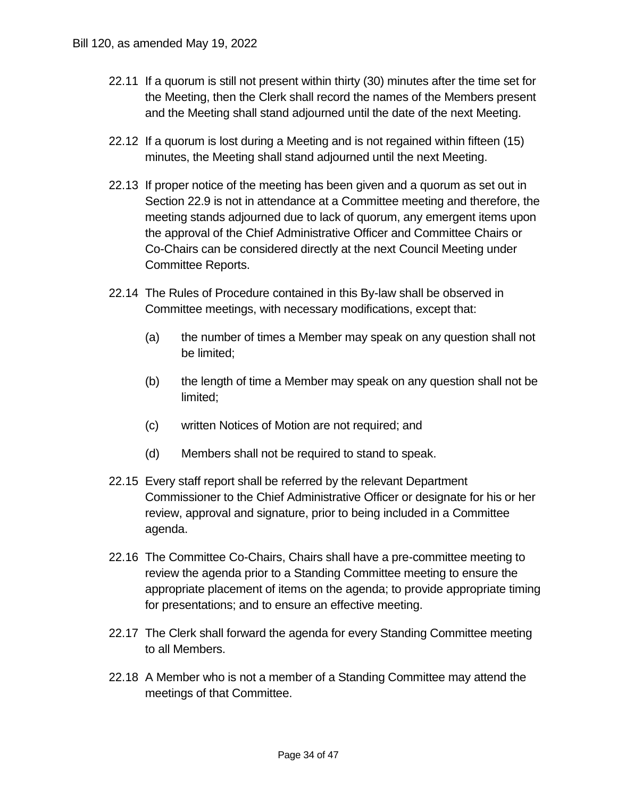- 22.11 If a quorum is still not present within thirty (30) minutes after the time set for the Meeting, then the Clerk shall record the names of the Members present and the Meeting shall stand adjourned until the date of the next Meeting.
- 22.12 If a quorum is lost during a Meeting and is not regained within fifteen (15) minutes, the Meeting shall stand adjourned until the next Meeting.
- 22.13 If proper notice of the meeting has been given and a quorum as set out in Section 22.9 is not in attendance at a Committee meeting and therefore, the meeting stands adjourned due to lack of quorum, any emergent items upon the approval of the Chief Administrative Officer and Committee Chairs or Co-Chairs can be considered directly at the next Council Meeting under Committee Reports.
- 22.14 The Rules of Procedure contained in this By-law shall be observed in Committee meetings, with necessary modifications, except that:
	- (a) the number of times a Member may speak on any question shall not be limited;
	- (b) the length of time a Member may speak on any question shall not be limited;
	- (c) written Notices of Motion are not required; and
	- (d) Members shall not be required to stand to speak.
- 22.15 Every staff report shall be referred by the relevant Department Commissioner to the Chief Administrative Officer or designate for his or her review, approval and signature, prior to being included in a Committee agenda.
- 22.16 The Committee Co-Chairs, Chairs shall have a pre-committee meeting to review the agenda prior to a Standing Committee meeting to ensure the appropriate placement of items on the agenda; to provide appropriate timing for presentations; and to ensure an effective meeting.
- 22.17 The Clerk shall forward the agenda for every Standing Committee meeting to all Members.
- 22.18 A Member who is not a member of a Standing Committee may attend the meetings of that Committee.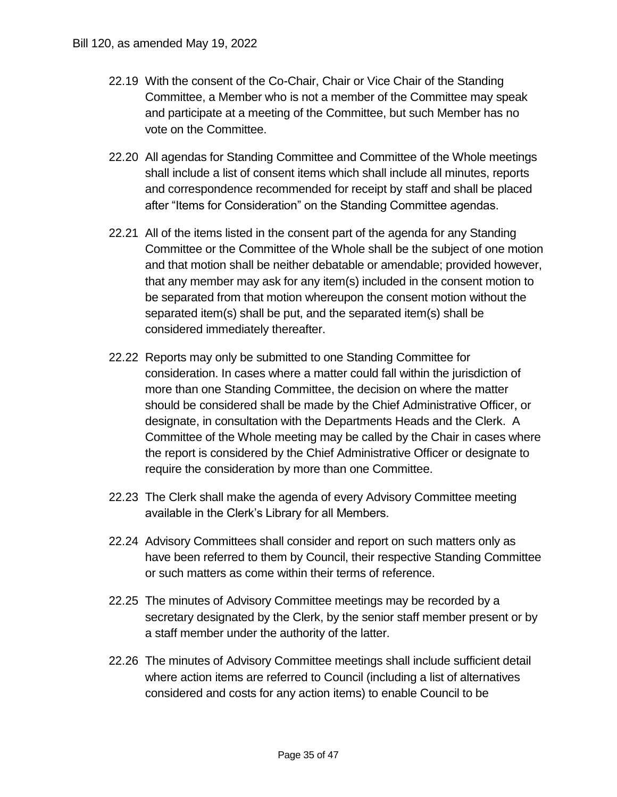- 22.19 With the consent of the Co-Chair, Chair or Vice Chair of the Standing Committee, a Member who is not a member of the Committee may speak and participate at a meeting of the Committee, but such Member has no vote on the Committee.
- 22.20 All agendas for Standing Committee and Committee of the Whole meetings shall include a list of consent items which shall include all minutes, reports and correspondence recommended for receipt by staff and shall be placed after "Items for Consideration" on the Standing Committee agendas.
- 22.21 All of the items listed in the consent part of the agenda for any Standing Committee or the Committee of the Whole shall be the subject of one motion and that motion shall be neither debatable or amendable; provided however, that any member may ask for any item(s) included in the consent motion to be separated from that motion whereupon the consent motion without the separated item(s) shall be put, and the separated item(s) shall be considered immediately thereafter.
- 22.22 Reports may only be submitted to one Standing Committee for consideration. In cases where a matter could fall within the jurisdiction of more than one Standing Committee, the decision on where the matter should be considered shall be made by the Chief Administrative Officer, or designate, in consultation with the Departments Heads and the Clerk. A Committee of the Whole meeting may be called by the Chair in cases where the report is considered by the Chief Administrative Officer or designate to require the consideration by more than one Committee. "Iten<br>f the umitte<br>that r any r<br>epara<br>aratec<br>idere orts n<br>idera<br>idere than<br>the port<br>ire th<br>Clerk<br>able
- 22.23 The Clerk shall make the agenda of every Advisory Committee meeting available in the Clerk's Library for all Members.
- 22.24 Advisory Committees shall consider and report on such matters only as have been referred to them by Council, their respective Standing Committee or such matters as come within their terms of reference.
- 22.25 The minutes of Advisory Committee meetings may be recorded by a secretary designated by the Clerk, by the senior staff member present or by a staff member under the authority of the latter.
- 22.26 The minutes of Advisory Committee meetings shall include sufficient detail where action items are referred to Council (including a list of alternatives considered and costs for any action items) to enable Council to be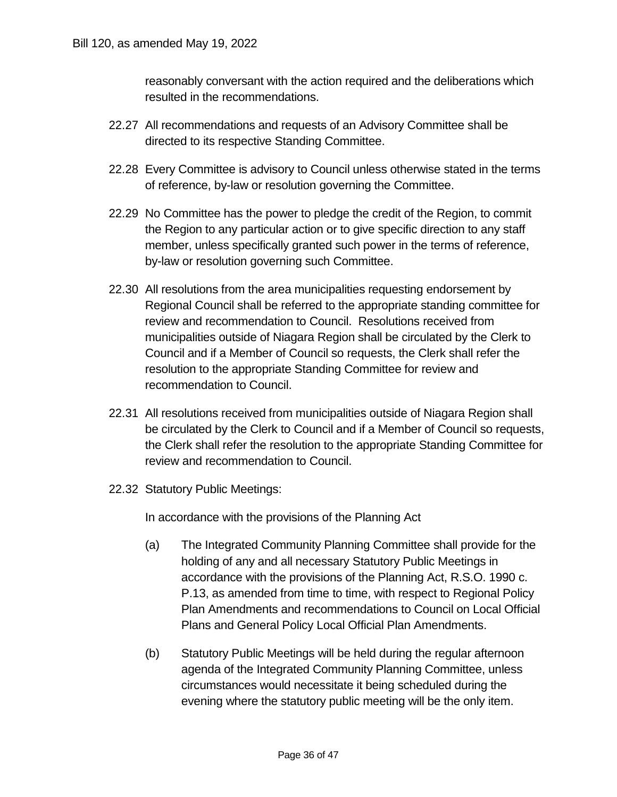reasonably conversant with the action required and the deliberations which resulted in the recommendations.

- 22.27 All recommendations and requests of an Advisory Committee shall be directed to its respective Standing Committee.
- 22.28 Every Committee is advisory to Council unless otherwise stated in the terms of reference, by-law or resolution governing the Committee.
- 22.29 No Committee has the power to pledge the credit of the Region, to commit the Region to any particular action or to give specific direction to any staff member, unless specifically granted such power in the terms of reference, by-law or resolution governing such Committee.
- 22.30 All resolutions from the area municipalities requesting endorsement by Regional Council shall be referred to the appropriate standing committee for review and recommendation to Council. Resolutions received from municipalities outside of Niagara Region shall be circulated by the Clerk to Council and if a Member of Council so requests, the Clerk shall refer the resolution to the appropriate Standing Committee for review and recommendation to Council.
- 22.31 All resolutions received from municipalities outside of Niagara Region shall be circulated by the Clerk to Council and if a Member of Council so requests, the Clerk shall refer the resolution to the appropriate Standing Committee for review and recommendation to Council.
- 22.32 Statutory Public Meetings:

In accordance with the provisions of the Planning Act

- (a) The Integrated Community Planning Committee shall provide for the holding of any and all necessary Statutory Public Meetings in accordance with the provisions of the Planning Act, R.S.O. 1990 c. P.13, as amended from time to time, with respect to Regional Policy Plan Amendments and recommendations to Council on Local Official Plans and General Policy Local Official Plan Amendments.
- (b) Statutory Public Meetings will be held during the regular afternoon agenda of the Integrated Community Planning Committee, unless circumstances would necessitate it being scheduled during the evening where the statutory public meeting will be the only item.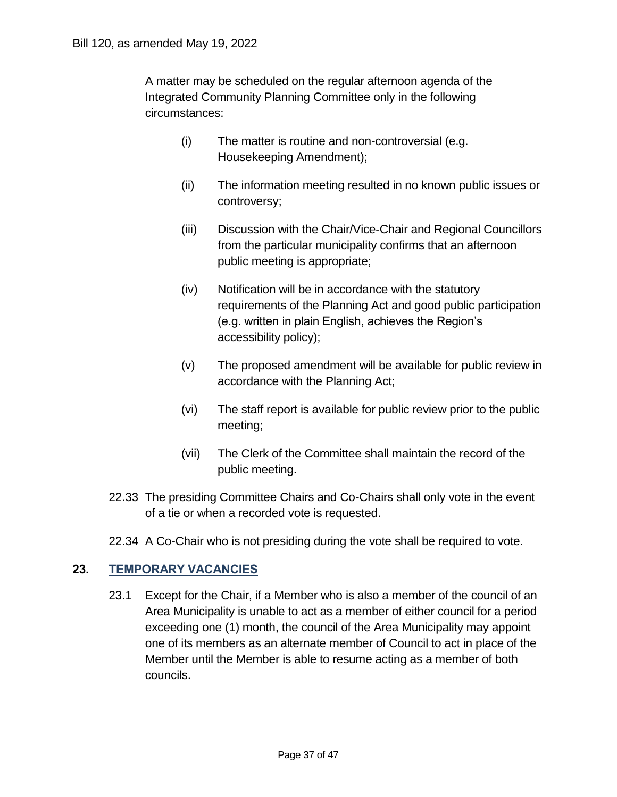A matter may be scheduled on the regular afternoon agenda of the Integrated Community Planning Committee only in the following Bill 120, as amended May 19, 2022<br>
A matter may be schee<br>
Integrated Community<br>
circumstances:<br>
(i) The mat<br>
Houseke<br>
(ii) The info<br>
controve<br>
(iii) Discussi<br>
from the<br>
public m<br>
(iv) Notificat<br>
requirem<br>
(e.g. writ circumstances:

- (i) The matter is routine and non-controversial (e.g. Housekeeping Amendment);
- (ii) The information meeting resulted in no known public issues or controversy;
- (iii) Discussion with the Chair/Vice-Chair and Regional Councillors from the particular municipality confirms that an afternoon public meeting is appropriate;
- (iv) Notification will be in accordance with the statutory requirements of the Planning Act and good public participation (e.g. written in plain English, achieves the Region's accessibility policy);
- (v) The proposed amendment will be available for public review in accordance with the Planning Act;
- (vi) The staff report is available for public review prior to the public meeting;
- (vii) The Clerk of the Committee shall maintain the record of the public meeting.
- 22.33 The presiding Committee Chairs and Co-Chairs shall only vote in the event of a tie or when a recorded vote is requested.
- 22.34 A Co-Chair who is not presiding during the vote shall be required to vote.

#### **23. TEMPORARY VACANCIES**

 23.1 Except for the Chair, if a Member who is also a member of the council of an Area Municipality is unable to act as a member of either council for a period exceeding one (1) month, the council of the Area Municipality may appoint one of its members as an alternate member of Council to act in place of the Member until the Member is able to resume acting as a member of both councils.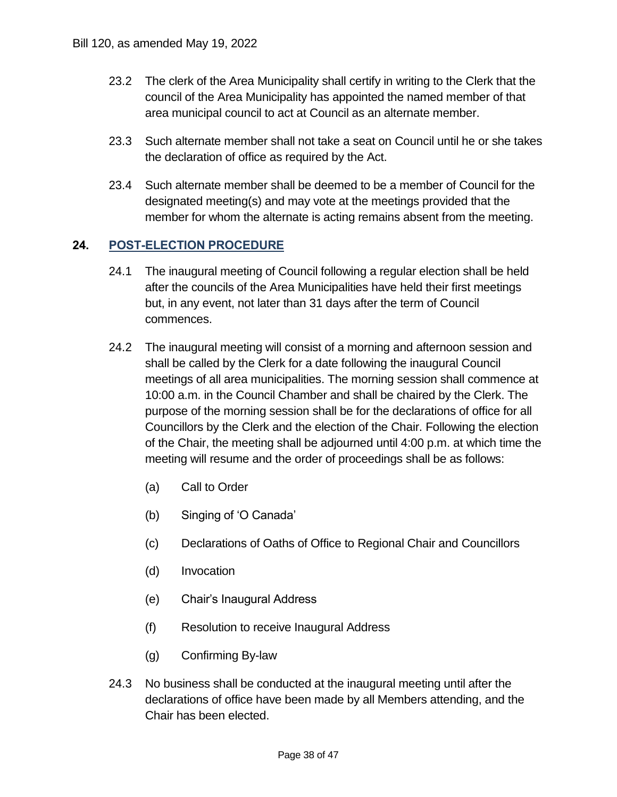- 23.2 The clerk of the Area Municipality shall certify in writing to the Clerk that the council of the Area Municipality has appointed the named member of that area municipal council to act at Council as an alternate member.
- 23.3 Such alternate member shall not take a seat on Council until he or she takes the declaration of office as required by the Act.
- 23.4 Such alternate member shall be deemed to be a member of Council for the designated meeting(s) and may vote at the meetings provided that the member for whom the alternate is acting remains absent from the meeting.

#### **24. POST-ELECTION PROCEDURE**

- 24.1 The inaugural meeting of Council following a regular election shall be held after the councils of the Area Municipalities have held their first meetings but, in any event, not later than 31 days after the term of Council commences.
- 24.2 The inaugural meeting will consist of a morning and afternoon session and shall be called by the Clerk for a date following the inaugural Council meetings of all area municipalities. The morning session shall commence at 10:00 a.m. in the Council Chamber and shall be chaired by the Clerk. The purpose of the morning session shall be for the declarations of office for all Councillors by the Clerk and the election of the Chair. Following the election of the Chair, the meeting shall be adjourned until 4:00 p.m. at which time the meeting will resume and the order of proceedings shall be as follows: Bill 120, as amended May 19, 2022<br>
23.2 The clerk of the Area May<br>
23.2 The clerk of the Area Mu<br>
area municipal council<br>
23.3 Such alternate membe<br>
the declaration of offic<br>
23.4 Such alternate membe<br>
designated meeting(s
	- (a) Call to Order
	- (b) Singing of 'O Canada'
	- (c) Declarations of Oaths of Office to Regional Chair and Councillors
	- (d) Invocation
	- (e) Chair's Inaugural Address
	- (f) Resolution to receive Inaugural Address
	- (g) Confirming By-law
	- 24.3 No business shall be conducted at the inaugural meeting until after the declarations of office have been made by all Members attending, and the Chair has been elected.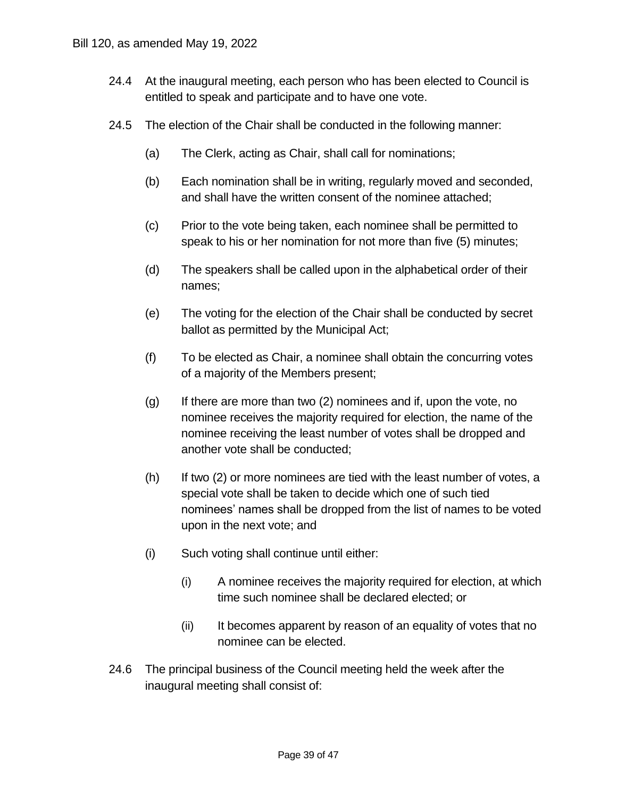- 24.4 At the inaugural meeting, each person who has been elected to Council is entitled to speak and participate and to have one vote.
- 24.5 The election of the Chair shall be conducted in the following manner:
	- (a) The Clerk, acting as Chair, shall call for nominations;
	- (b) Each nomination shall be in writing, regularly moved and seconded, and shall have the written consent of the nominee attached;
	- (c) Prior to the vote being taken, each nominee shall be permitted to speak to his or her nomination for not more than five (5) minutes;
	- (d) The speakers shall be called upon in the alphabetical order of their names;
	- (e) The voting for the election of the Chair shall be conducted by secret ballot as permitted by the Municipal Act;
	- (f) To be elected as Chair, a nominee shall obtain the concurring votes of a majority of the Members present;
- (g) If there are more than two (2) nominees and if, upon the vote, no nominee receives the majority required for election, the name of the nominee receiving the least number of votes shall be dropped and another vote shall be conducted; Bill 120, as amended May 19, 2022<br>
24.4 At the inaugural meetic<br>
entitled to speak and p<br>
24.5 The election of the Ch<br>
(a) The Clerk, actin<br>
(b) Each nominatic<br>
and shall have<br>
(c) Prior to the vott<br>
speak to his or<br>
(d) T
	- (h) If two (2) or more nominees are tied with the least number of votes, a special vote shall be taken to decide which one of such tied nominees' names shall be dropped from the list of names to be voted upon in the next vote; and
	- (i) Such voting shall continue until either:
		- (i) A nominee receives the majority required for election, at which time such nominee shall be declared elected; or
		- (ii) It becomes apparent by reason of an equality of votes that no nominee can be elected.
	- 24.6 The principal business of the Council meeting held the week after the inaugural meeting shall consist of: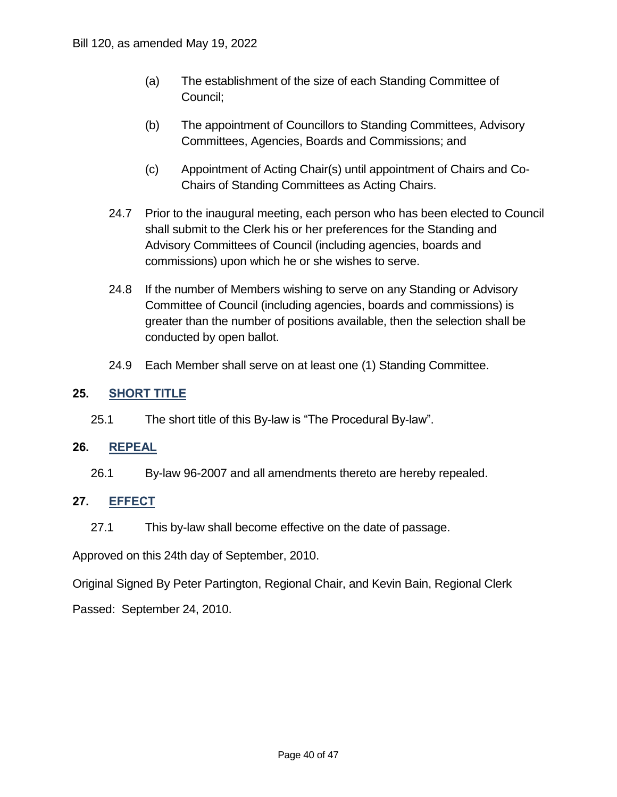- (a) The establishment of the size of each Standing Committee of Council;
- (b) The appointment of Councillors to Standing Committees, Advisory Committees, Agencies, Boards and Commissions; and
- (c) Appointment of Acting Chair(s) until appointment of Chairs and Co-Chairs of Standing Committees as Acting Chairs.
- 24.7 Prior to the inaugural meeting, each person who has been elected to Council shall submit to the Clerk his or her preferences for the Standing and Advisory Committees of Council (including agencies, boards and commissions) upon which he or she wishes to serve.
- 24.8 If the number of Members wishing to serve on any Standing or Advisory Committee of Council (including agencies, boards and commissions) is greater than the number of positions available, then the selection shall be conducted by open ballot.
- 24.9 Each Member shall serve on at least one (1) Standing Committee.

#### **25. SHORT TITLE**

25.1 The short title of this By-law is "The Procedural By-law".

#### **26. REPEAL**

26.1 By-law 96-2007 and all amendments thereto are hereby repealed.

#### **27. EFFECT**

27.1 This by-law shall become effective on the date of passage.

Approved on this 24th day of September, 2010.

Original Signed By Peter Partington, Regional Chair, and Kevin Bain, Regional Clerk

Passed: September 24, 2010.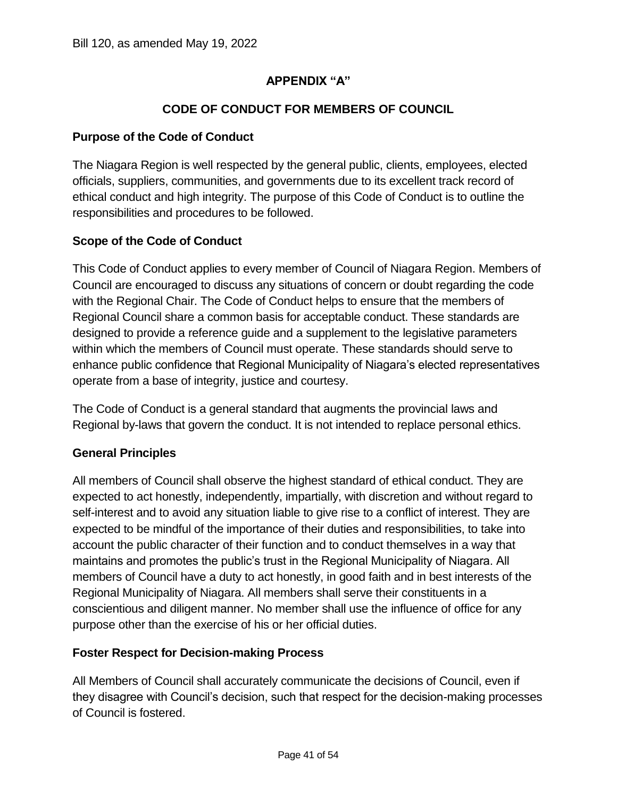#### **CODE OF CONDUCT FOR MEMBERS OF COUNCIL**

#### **Purpose of the Code of Conduct**

 The Niagara Region is well respected by the general public, clients, employees, elected officials, suppliers, communities, and governments due to its excellent track record of ethical conduct and high integrity. The purpose of this Code of Conduct is to outline the responsibilities and procedures to be followed.

#### **Scope of the Code of Conduct**

 This Code of Conduct applies to every member of Council of Niagara Region. Members of Council are encouraged to discuss any situations of concern or doubt regarding the code with the Regional Chair. The Code of Conduct helps to ensure that the members of Regional Council share a common basis for acceptable conduct. These standards are designed to provide a reference guide and a supplement to the legislative parameters within which the members of Council must operate. These standards should serve to enhance public confidence that Regional Municipality of Niagara's elected representatives operate from a base of integrity, justice and courtesy.

 The Code of Conduct is a general standard that augments the provincial laws and Regional by-laws that govern the conduct. It is not intended to replace personal ethics.

#### **General Principles**

 All members of Council shall observe the highest standard of ethical conduct. They are expected to act honestly, independently, impartially, with discretion and without regard to self-interest and to avoid any situation liable to give rise to a conflict of interest. They are expected to be mindful of the importance of their duties and responsibilities, to take into account the public character of their function and to conduct themselves in a way that maintains and promotes the public's trust in the Regional Municipality of Niagara. All members of Council have a duty to act honestly, in good faith and in best interests of the Regional Municipality of Niagara. All members shall serve their constituents in a conscientious and diligent manner. No member shall use the influence of office for any purpose other than the exercise of his or her official duties. oublic<br>
om a ł<br>
of Co<br>
by-law<br> **Princil**<br>
ers of<br>
to act<br>
st and<br>
to be l<br>
ne pub<br>
and p

#### **Foster Respect for Decision-making Process**

 All Members of Council shall accurately communicate the decisions of Council, even if they disagree with Council's decision, such that respect for the decision-making processes of Council is fostered.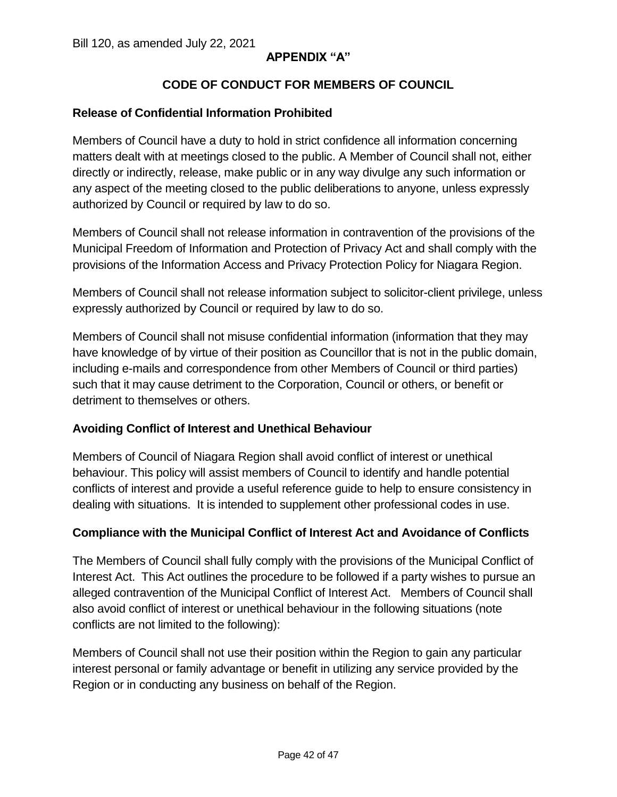#### **CODE OF CONDUCT FOR MEMBERS OF COUNCIL**

#### **Release of Confidential Information Prohibited**

 Members of Council have a duty to hold in strict confidence all information concerning matters dealt with at meetings closed to the public. A Member of Council shall not, either directly or indirectly, release, make public or in any way divulge any such information or any aspect of the meeting closed to the public deliberations to anyone, unless expressly authorized by Council or required by law to do so.

 Members of Council shall not release information in contravention of the provisions of the Municipal Freedom of Information and Protection of Privacy Act and shall comply with the provisions of the Information Access and Privacy Protection Policy for Niagara Region.

 Members of Council shall not release information subject to solicitor-client privilege, unless expressly authorized by Council or required by law to do so.

 Members of Council shall not misuse confidential information (information that they may have knowledge of by virtue of their position as Councillor that is not in the public domain, including e-mails and correspondence from other Members of Council or third parties) such that it may cause detriment to the Corporation, Council or others, or benefit or detriment to themselves or others.

#### **Avoiding Conflict of Interest and Unethical Behaviour**

 Members of Council of Niagara Region shall avoid conflict of interest or unethical behaviour. This policy will assist members of Council to identify and handle potential conflicts of interest and provide a useful reference guide to help to ensure consistency in dealing with situations. It is intended to supplement other professional codes in use.

#### **Compliance with the Municipal Conflict of Interest Act and Avoidance of Conflicts**

 The Members of Council shall fully comply with the provisions of the Municipal Conflict of Interest Act. This Act outlines the procedure to be followed if a party wishes to pursue an alleged contravention of the Municipal Conflict of Interest Act. Members of Council shall also avoid conflict of interest or unethical behaviour in the following situations (note conflicts are not limited to the following):

 Members of Council shall not use their position within the Region to gain any particular interest personal or family advantage or benefit in utilizing any service provided by the Region or in conducting any business on behalf of the Region.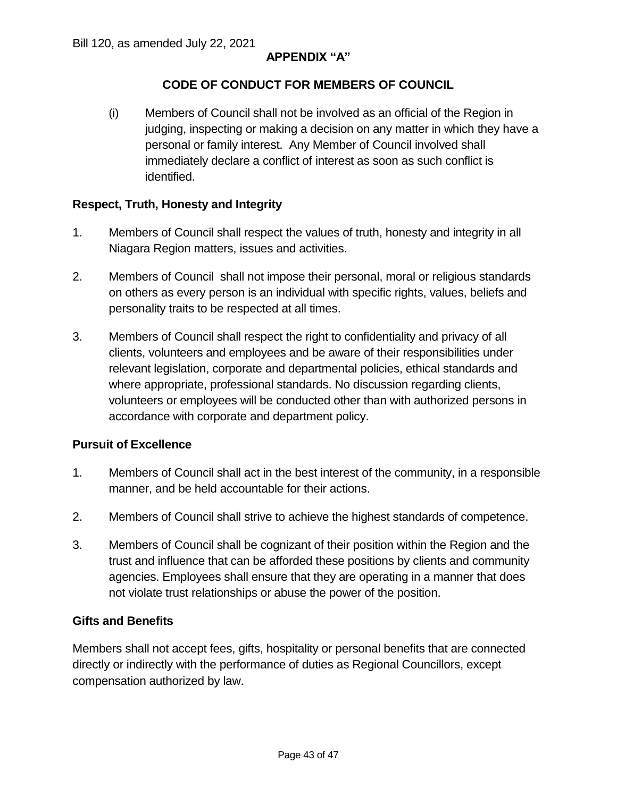#### **CODE OF CONDUCT FOR MEMBERS OF COUNCIL**

 (i) Members of Council shall not be involved as an official of the Region in judging, inspecting or making a decision on any matter in which they have a personal or family interest. Any Member of Council involved shall immediately declare a conflict of interest as soon as such conflict is identified.

#### **Respect, Truth, Honesty and Integrity**

- 1. Members of Council shall respect the values of truth, honesty and integrity in all Niagara Region matters, issues and activities.
- 2. Members of Council shall not impose their personal, moral or religious standards on others as every person is an individual with specific rights, values, beliefs and personality traits to be respected at all times.
- 3. Members of Council shall respect the right to confidentiality and privacy of all clients, volunteers and employees and be aware of their responsibilities under relevant legislation, corporate and departmental policies, ethical standards and where appropriate, professional standards. No discussion regarding clients, volunteers or employees will be conducted other than with authorized persons in accordance with corporate and department policy.

#### **Pursuit of Excellence**

- 1. Members of Council shall act in the best interest of the community, in a responsible manner, and be held accountable for their actions.
- 2. Members of Council shall strive to achieve the highest standards of competence.
- 3. Members of Council shall be cognizant of their position within the Region and the trust and influence that can be afforded these positions by clients and community agencies. Employees shall ensure that they are operating in a manner that does not violate trust relationships or abuse the power of the position.

#### **Gifts and Benefits**

 Members shall not accept fees, gifts, hospitality or personal benefits that are connected directly or indirectly with the performance of duties as Regional Councillors, except compensation authorized by law.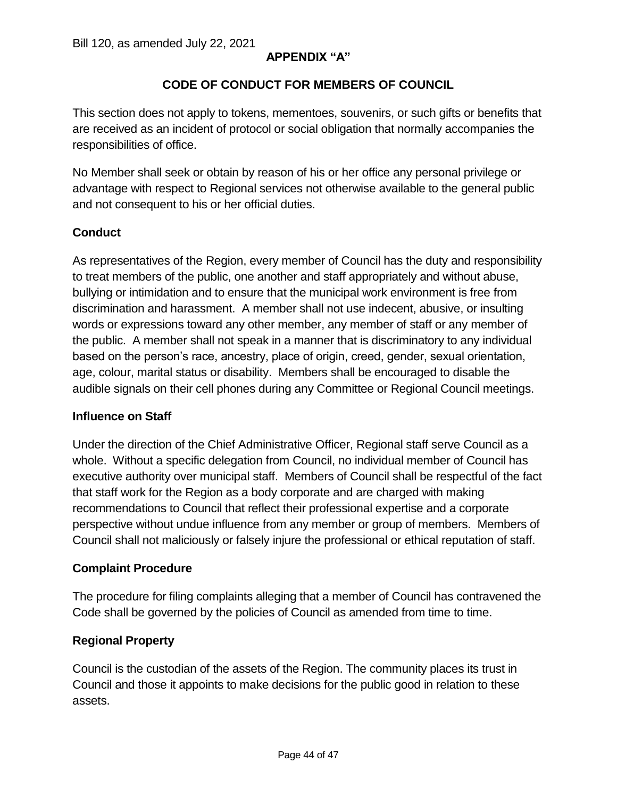#### **CODE OF CONDUCT FOR MEMBERS OF COUNCIL**

 This section does not apply to tokens, mementoes, souvenirs, or such gifts or benefits that are received as an incident of protocol or social obligation that normally accompanies the responsibilities of office.

 No Member shall seek or obtain by reason of his or her office any personal privilege or advantage with respect to Regional services not otherwise available to the general public and not consequent to his or her official duties.

#### **Conduct**

 As representatives of the Region, every member of Council has the duty and responsibility to treat members of the public, one another and staff appropriately and without abuse, bullying or intimidation and to ensure that the municipal work environment is free from discrimination and harassment. A member shall not use indecent, abusive, or insulting words or expressions toward any other member, any member of staff or any member of the public. A member shall not speak in a manner that is discriminatory to any individual based on the person's race, ancestry, place of origin, creed, gender, sexual orientation, age, colour, marital status or disability. Members shall be encouraged to disable the audible signals on their cell phones during any Committee or Regional Council meetings. Bill 120, as amended July 22, 2021<br>
CODE OF CONDI<br>
This section does not apply to token<br>
are received as an incident of protoc<br>
responsibilities of office.<br>
No Member shall seek or obtain by ladvantage with respect to Regi

#### **Influence on Staff**

 Under the direction of the Chief Administrative Officer, Regional staff serve Council as a whole. Without a specific delegation from Council, no individual member of Council has executive authority over municipal staff. Members of Council shall be respectful of the fact that staff work for the Region as a body corporate and are charged with making recommendations to Council that reflect their professional expertise and a corporate perspective without undue influence from any member or group of members. Members of Council shall not maliciously or falsely injure the professional or ethical reputation of staff.

#### **Complaint Procedure**

 The procedure for filing complaints alleging that a member of Council has contravened the Code shall be governed by the policies of Council as amended from time to time.

#### **Regional Property**

 Council is the custodian of the assets of the Region. The community places its trust in Council and those it appoints to make decisions for the public good in relation to these assets.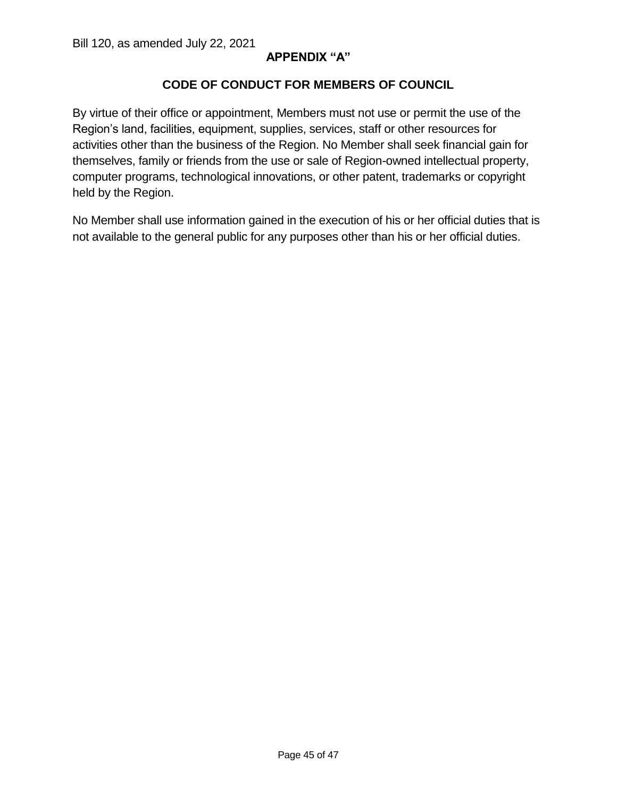#### **CODE OF CONDUCT FOR MEMBERS OF COUNCIL**

i. Region's land, facilities, equipment, supplies, services, staff or other resources for activities other than the business of the Region. No Member shall seek financial gain for themselves, family or friends from the use or sale of Region-owned intellectual property, computer programs, technological innovations, or other patent, trademarks or copyright held by the Region. Bill 120, as amended July 22, 2021<br>**CODE OF COND**<br>By virtue of their office or appointme<br>Region's land, facilities, equipment, By virtue of their office or appointment, Members must not use or permit the use of the

 No Member shall use information gained in the execution of his or her official duties that is not available to the general public for any purposes other than his or her official duties.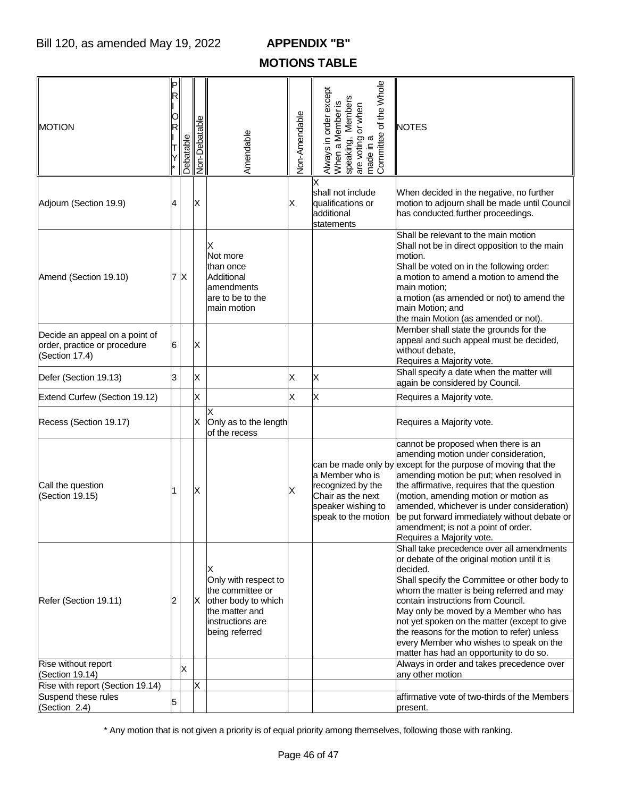## **MOTIONS TABLE**

| <b>MOTION</b>                                                                    |   | Debatable    | Non-Debatable | Amendable                                                                                                                    | Non-Amendable | are voting or when<br>made in a<br>Committee of the Whole<br>Always in order except<br>When a Member is<br>speaking, Members | <b>NOTES</b>                                                                                                                                                                                                                                                                                                                                                                                                                                                           |
|----------------------------------------------------------------------------------|---|--------------|---------------|------------------------------------------------------------------------------------------------------------------------------|---------------|------------------------------------------------------------------------------------------------------------------------------|------------------------------------------------------------------------------------------------------------------------------------------------------------------------------------------------------------------------------------------------------------------------------------------------------------------------------------------------------------------------------------------------------------------------------------------------------------------------|
| Adjourn (Section 19.9)                                                           | 4 |              | Χ             |                                                                                                                              | Χ             | shall not include<br>qualifications or<br>additional<br>statements                                                           | When decided in the negative, no further<br>motion to adjourn shall be made until Council<br>has conducted further proceedings.                                                                                                                                                                                                                                                                                                                                        |
| Amend (Section 19.10)                                                            | 7 | $\mathsf{X}$ |               | х<br>Not more<br>than once<br>Additional<br>amendments<br>are to be to the<br>main motion                                    |               |                                                                                                                              | Shall be relevant to the main motion<br>Shall not be in direct opposition to the main<br>motion.<br>Shall be voted on in the following order:<br>a motion to amend a motion to amend the<br>main motion;<br>a motion (as amended or not) to amend the<br>main Motion; and<br>the main Motion (as amended or not).                                                                                                                                                      |
| Decide an appeal on a point of<br>order, practice or procedure<br>(Section 17.4) | 6 |              | Х             |                                                                                                                              |               |                                                                                                                              | Member shall state the grounds for the<br>appeal and such appeal must be decided,<br>without debate,<br>Requires a Majority vote.                                                                                                                                                                                                                                                                                                                                      |
| Defer (Section 19.13)                                                            | 3 |              | X             |                                                                                                                              | Χ             | Χ                                                                                                                            | Shall specify a date when the matter will<br>again be considered by Council.                                                                                                                                                                                                                                                                                                                                                                                           |
| Extend Curfew (Section 19.12)                                                    |   |              | X             |                                                                                                                              | X             | X                                                                                                                            | Requires a Majority vote.                                                                                                                                                                                                                                                                                                                                                                                                                                              |
| Recess (Section 19.17)                                                           |   |              | Х             | X<br>Only as to the length<br>of the recess                                                                                  |               |                                                                                                                              | Requires a Majority vote.                                                                                                                                                                                                                                                                                                                                                                                                                                              |
| Call the question<br>(Section 19.15)                                             |   |              | Χ             |                                                                                                                              | Χ             | a Member who is<br>recognized by the<br>Chair as the next<br>speaker wishing to<br>speak to the motion                       | cannot be proposed when there is an<br>amending motion under consideration,<br>can be made only by except for the purpose of moving that the<br>amending motion be put; when resolved in<br>the affirmative, requires that the question<br>(motion, amending motion or motion as<br>amended, whichever is under consideration)<br>be put forward immediately without debate or<br>amendment; is not a point of order.<br>Requires a Majority vote.                     |
| Refer (Section 19.11)                                                            |   |              | ΙX            | X<br>Only with respect to<br>the committee or<br>other body to which<br>the matter and<br>instructions are<br>being referred |               |                                                                                                                              | Shall take precedence over all amendments<br>or debate of the original motion until it is<br>decided.<br>Shall specify the Committee or other body to<br>whom the matter is being referred and may<br>contain instructions from Council.<br>May only be moved by a Member who has<br>not yet spoken on the matter (except to give<br>the reasons for the motion to refer) unless<br>every Member who wishes to speak on the<br>matter has had an opportunity to do so. |
| Rise without report<br>(Section 19.14)                                           |   | ΙX           |               |                                                                                                                              |               |                                                                                                                              | Always in order and takes precedence over<br>any other motion                                                                                                                                                                                                                                                                                                                                                                                                          |
| Rise with report (Section 19.14)                                                 |   |              | X             |                                                                                                                              |               |                                                                                                                              |                                                                                                                                                                                                                                                                                                                                                                                                                                                                        |
| Suspend these rules                                                              |   |              |               |                                                                                                                              |               |                                                                                                                              | affirmative vote of two-thirds of the Members                                                                                                                                                                                                                                                                                                                                                                                                                          |
| (Section 2.4)                                                                    | 5 |              |               |                                                                                                                              |               |                                                                                                                              | present.                                                                                                                                                                                                                                                                                                                                                                                                                                                               |

\* Any motion that is not given a priority is of equal priority among themselves, following those with ranking.